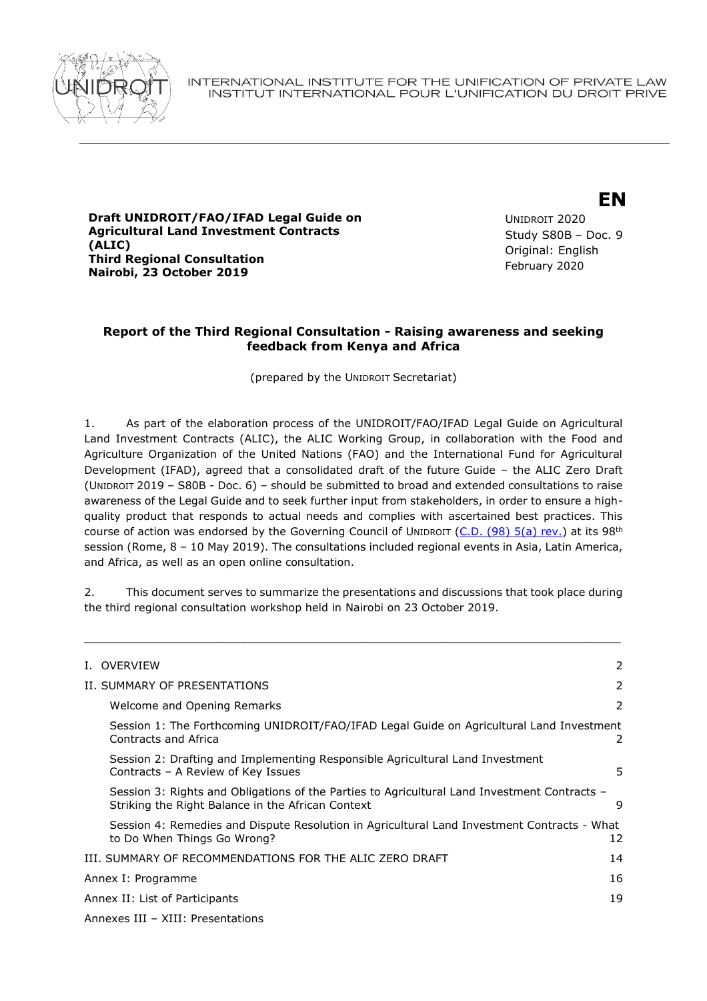

**Draft UNIDROIT/FAO/IFAD Legal Guide on Agricultural Land Investment Contracts (ALIC) Third Regional Consultation Nairobi, 23 October 2019**

UNIDROIT 2020 Study S80B – Doc. 9 Original: English February 2020

**EN**

## **Report of the Third Regional Consultation - Raising awareness and seeking feedback from Kenya and Africa**

(prepared by the UNIDROIT Secretariat)

1. As part of the elaboration process of the UNIDROIT/FAO/IFAD Legal Guide on Agricultural Land Investment Contracts (ALIC), the ALIC Working Group, in collaboration with the Food and Agriculture Organization of the United Nations (FAO) and the International Fund for Agricultural Development (IFAD), agreed that a consolidated draft of the future Guide – the ALIC Zero Draft (UNIDROIT 2019 – S80B - Doc. 6) – should be submitted to broad and extended consultations to raise awareness of the Legal Guide and to seek further input from stakeholders, in order to ensure a highquality product that responds to actual needs and complies with ascertained best practices. This course of action was endorsed by the Governing Council of UNIDROIT [\(C.D. \(98\) 5\(a\) rev.](https://www.unidroit.org/english/governments/councildocuments/2019session/cd-98-05a-rev-e.pdf)) at its 98<sup>th</sup> session (Rome, 8 – 10 May 2019). The consultations included regional events in Asia, Latin America, and Africa, as well as an open online consultation.

2. This document serves to summarize the presentations and discussions that took place during the third regional consultation workshop held in Nairobi on 23 October 2019.

\_\_\_\_\_\_\_\_\_\_\_\_\_\_\_\_\_\_\_\_\_\_\_\_\_\_\_\_\_\_\_\_\_\_\_\_\_\_\_\_\_\_\_\_\_\_\_\_\_\_\_\_\_\_\_\_\_\_\_\_\_\_\_\_\_\_\_\_\_\_\_\_\_\_\_\_\_\_\_

|                    | I. OVERVIEW                                                                                                                                       | 2  |  |
|--------------------|---------------------------------------------------------------------------------------------------------------------------------------------------|----|--|
|                    | II. SUMMARY OF PRESENTATIONS                                                                                                                      | 2  |  |
|                    | Welcome and Opening Remarks                                                                                                                       | 2  |  |
|                    | Session 1: The Forthcoming UNIDROIT/FAO/IFAD Legal Guide on Agricultural Land Investment<br>Contracts and Africa                                  | 2  |  |
|                    | Session 2: Drafting and Implementing Responsible Agricultural Land Investment<br>Contracts - A Review of Key Issues                               | 5  |  |
|                    | Session 3: Rights and Obligations of the Parties to Agricultural Land Investment Contracts -<br>Striking the Right Balance in the African Context | 9  |  |
|                    | Session 4: Remedies and Dispute Resolution in Agricultural Land Investment Contracts - What<br>to Do When Things Go Wrong?                        | 12 |  |
|                    | III. SUMMARY OF RECOMMENDATIONS FOR THE ALIC ZERO DRAFT                                                                                           | 14 |  |
| Annex I: Programme |                                                                                                                                                   | 16 |  |
|                    | Annex II: List of Participants                                                                                                                    |    |  |
|                    | Annexes III - XIII: Presentations                                                                                                                 |    |  |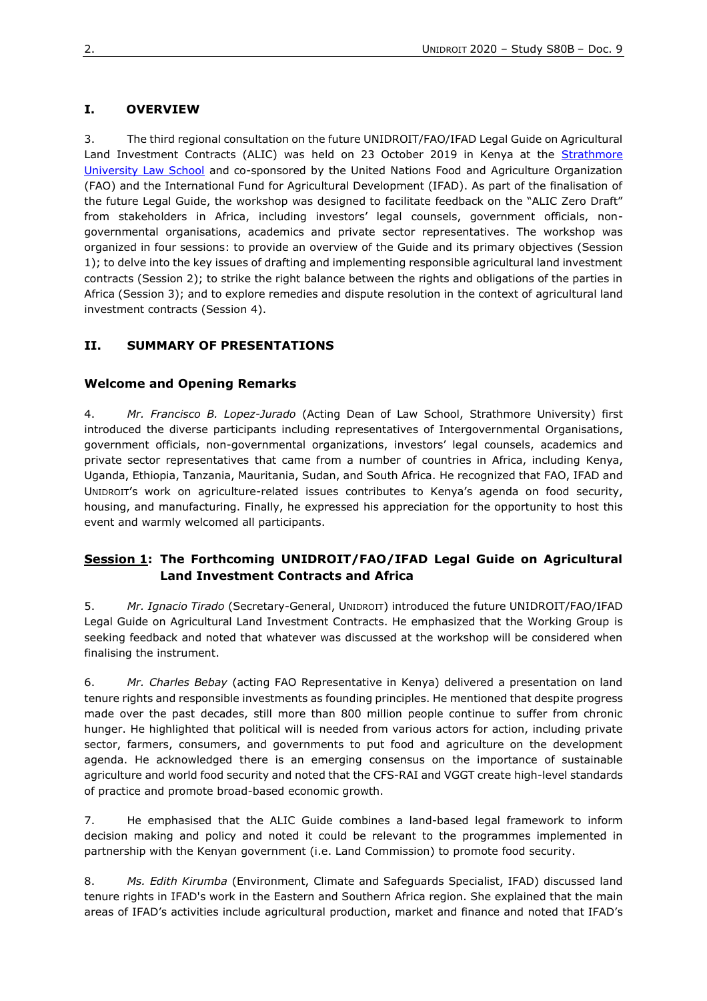## **I. OVERVIEW**

3. The third regional consultation on the future UNIDROIT/FAO/IFAD Legal Guide on Agricultural Land Investment Contracts (ALIC) was held on 23 October 2019 in Kenya at the Strathmore [University Law School](http://www.law.strathmore.edu/) and co-sponsored by the United Nations Food and Agriculture Organization (FAO) and the International Fund for Agricultural Development (IFAD). As part of the finalisation of the future Legal Guide, the workshop was designed to facilitate feedback on the "ALIC Zero Draft" from stakeholders in Africa, including investors' legal counsels, government officials, nongovernmental organisations, academics and private sector representatives. The workshop was organized in four sessions: to provide an overview of the Guide and its primary objectives (Session 1); to delve into the key issues of drafting and implementing responsible agricultural land investment contracts (Session 2); to strike the right balance between the rights and obligations of the parties in Africa (Session 3); and to explore remedies and dispute resolution in the context of agricultural land investment contracts (Session 4).

## **II. SUMMARY OF PRESENTATIONS**

#### **Welcome and Opening Remarks**

4. *Mr. Francisco B. Lopez-Jurado* (Acting Dean of Law School, Strathmore University) first introduced the diverse participants including representatives of Intergovernmental Organisations, government officials, non-governmental organizations, investors' legal counsels, academics and private sector representatives that came from a number of countries in Africa, including Kenya, Uganda, Ethiopia, Tanzania, Mauritania, Sudan, and South Africa. He recognized that FAO, IFAD and UNIDROIT's work on agriculture-related issues contributes to Kenya's agenda on food security, housing, and manufacturing. Finally, he expressed his appreciation for the opportunity to host this event and warmly welcomed all participants.

## **Session 1: The Forthcoming UNIDROIT/FAO/IFAD Legal Guide on Agricultural Land Investment Contracts and Africa**

5. *Mr. Ignacio Tirado* (Secretary-General, UNIDROIT) introduced the future UNIDROIT/FAO/IFAD Legal Guide on Agricultural Land Investment Contracts. He emphasized that the Working Group is seeking feedback and noted that whatever was discussed at the workshop will be considered when finalising the instrument.

6. *Mr. Charles Bebay* (acting FAO Representative in Kenya) delivered a presentation on land tenure rights and responsible investments as founding principles. He mentioned that despite progress made over the past decades, still more than 800 million people continue to suffer from chronic hunger. He highlighted that political will is needed from various actors for action, including private sector, farmers, consumers, and governments to put food and agriculture on the development agenda. He acknowledged there is an emerging consensus on the importance of sustainable agriculture and world food security and noted that the CFS-RAI and VGGT create high-level standards of practice and promote broad-based economic growth.

7. He emphasised that the ALIC Guide combines a land-based legal framework to inform decision making and policy and noted it could be relevant to the programmes implemented in partnership with the Kenyan government (i.e. Land Commission) to promote food security.

8. *Ms. Edith Kirumba* (Environment, Climate and Safeguards Specialist, IFAD) discussed land tenure rights in IFAD's work in the Eastern and Southern Africa region. She explained that the main areas of IFAD's activities include agricultural production, market and finance and noted that IFAD's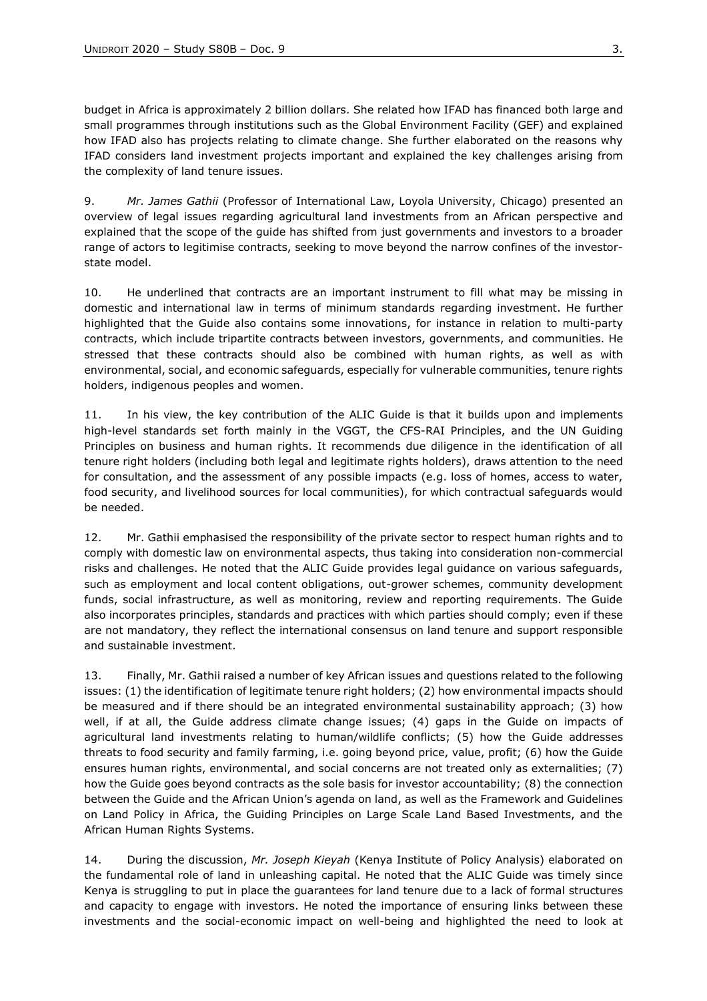budget in Africa is approximately 2 billion dollars. She related how IFAD has financed both large and small programmes through institutions such as the Global Environment Facility (GEF) and explained how IFAD also has projects relating to climate change. She further elaborated on the reasons why IFAD considers land investment projects important and explained the key challenges arising from the complexity of land tenure issues.

9. *Mr. James Gathii* (Professor of International Law, Loyola University, Chicago) presented an overview of legal issues regarding agricultural land investments from an African perspective and explained that the scope of the guide has shifted from just governments and investors to a broader range of actors to legitimise contracts, seeking to move beyond the narrow confines of the investorstate model.

10. He underlined that contracts are an important instrument to fill what may be missing in domestic and international law in terms of minimum standards regarding investment. He further highlighted that the Guide also contains some innovations, for instance in relation to multi-party contracts, which include tripartite contracts between investors, governments, and communities. He stressed that these contracts should also be combined with human rights, as well as with environmental, social, and economic safeguards, especially for vulnerable communities, tenure rights holders, indigenous peoples and women.

11. In his view, the key contribution of the ALIC Guide is that it builds upon and implements high-level standards set forth mainly in the VGGT, the CFS-RAI Principles, and the UN Guiding Principles on business and human rights. It recommends due diligence in the identification of all tenure right holders (including both legal and legitimate rights holders), draws attention to the need for consultation, and the assessment of any possible impacts (e.g. loss of homes, access to water, food security, and livelihood sources for local communities), for which contractual safeguards would be needed.

12. Mr. Gathii emphasised the responsibility of the private sector to respect human rights and to comply with domestic law on environmental aspects, thus taking into consideration non-commercial risks and challenges. He noted that the ALIC Guide provides legal guidance on various safeguards, such as employment and local content obligations, out-grower schemes, community development funds, social infrastructure, as well as monitoring, review and reporting requirements. The Guide also incorporates principles, standards and practices with which parties should comply; even if these are not mandatory, they reflect the international consensus on land tenure and support responsible and sustainable investment.

13. Finally, Mr. Gathii raised a number of key African issues and questions related to the following issues: (1) the identification of legitimate tenure right holders; (2) how environmental impacts should be measured and if there should be an integrated environmental sustainability approach; (3) how well, if at all, the Guide address climate change issues; (4) gaps in the Guide on impacts of agricultural land investments relating to human/wildlife conflicts; (5) how the Guide addresses threats to food security and family farming, i.e. going beyond price, value, profit; (6) how the Guide ensures human rights, environmental, and social concerns are not treated only as externalities; (7) how the Guide goes beyond contracts as the sole basis for investor accountability; (8) the connection between the Guide and the African Union's agenda on land, as well as the Framework and Guidelines on Land Policy in Africa, the Guiding Principles on Large Scale Land Based Investments, and the African Human Rights Systems.

14. During the discussion, *Mr. Joseph Kieyah* (Kenya Institute of Policy Analysis) elaborated on the fundamental role of land in unleashing capital. He noted that the ALIC Guide was timely since Kenya is struggling to put in place the guarantees for land tenure due to a lack of formal structures and capacity to engage with investors. He noted the importance of ensuring links between these investments and the social-economic impact on well-being and highlighted the need to look at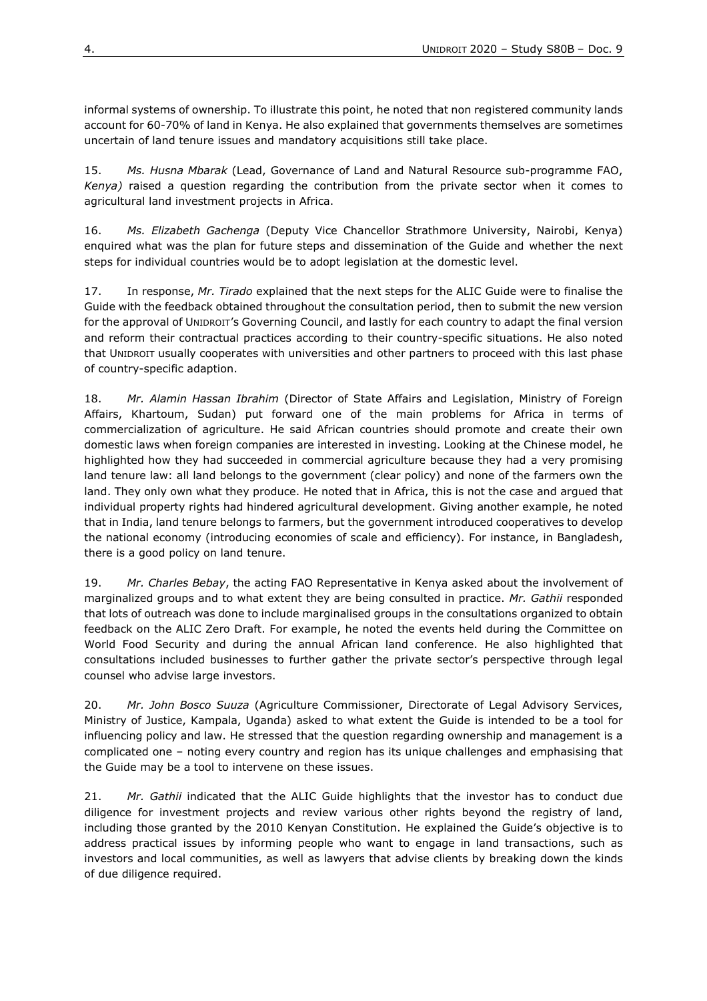informal systems of ownership. To illustrate this point, he noted that non registered community lands account for 60-70% of land in Kenya. He also explained that governments themselves are sometimes uncertain of land tenure issues and mandatory acquisitions still take place.

15. *Ms. Husna Mbarak* (Lead, Governance of Land and Natural Resource sub-programme FAO, *Kenya)* raised a question regarding the contribution from the private sector when it comes to agricultural land investment projects in Africa.

16. *Ms. Elizabeth Gachenga* (Deputy Vice Chancellor Strathmore University, Nairobi, Kenya) enquired what was the plan for future steps and dissemination of the Guide and whether the next steps for individual countries would be to adopt legislation at the domestic level.

17. In response, *Mr. Tirado* explained that the next steps for the ALIC Guide were to finalise the Guide with the feedback obtained throughout the consultation period, then to submit the new version for the approval of UNIDROIT's Governing Council, and lastly for each country to adapt the final version and reform their contractual practices according to their country-specific situations. He also noted that UNIDROIT usually cooperates with universities and other partners to proceed with this last phase of country-specific adaption.

18. *Mr. Alamin Hassan Ibrahim* (Director of State Affairs and Legislation, Ministry of Foreign Affairs, Khartoum, Sudan) put forward one of the main problems for Africa in terms of commercialization of agriculture. He said African countries should promote and create their own domestic laws when foreign companies are interested in investing. Looking at the Chinese model, he highlighted how they had succeeded in commercial agriculture because they had a very promising land tenure law: all land belongs to the government (clear policy) and none of the farmers own the land. They only own what they produce. He noted that in Africa, this is not the case and argued that individual property rights had hindered agricultural development. Giving another example, he noted that in India, land tenure belongs to farmers, but the government introduced cooperatives to develop the national economy (introducing economies of scale and efficiency). For instance, in Bangladesh, there is a good policy on land tenure.

19. *Mr. Charles Bebay*, the acting FAO Representative in Kenya asked about the involvement of marginalized groups and to what extent they are being consulted in practice. *Mr. Gathii* responded that lots of outreach was done to include marginalised groups in the consultations organized to obtain feedback on the ALIC Zero Draft. For example, he noted the events held during the Committee on World Food Security and during the annual African land conference. He also highlighted that consultations included businesses to further gather the private sector's perspective through legal counsel who advise large investors.

20. *Mr. John Bosco Suuza* (Agriculture Commissioner, Directorate of Legal Advisory Services, Ministry of Justice, Kampala, Uganda) asked to what extent the Guide is intended to be a tool for influencing policy and law. He stressed that the question regarding ownership and management is a complicated one – noting every country and region has its unique challenges and emphasising that the Guide may be a tool to intervene on these issues.

21. *Mr. Gathii* indicated that the ALIC Guide highlights that the investor has to conduct due diligence for investment projects and review various other rights beyond the registry of land, including those granted by the 2010 Kenyan Constitution. He explained the Guide's objective is to address practical issues by informing people who want to engage in land transactions, such as investors and local communities, as well as lawyers that advise clients by breaking down the kinds of due diligence required.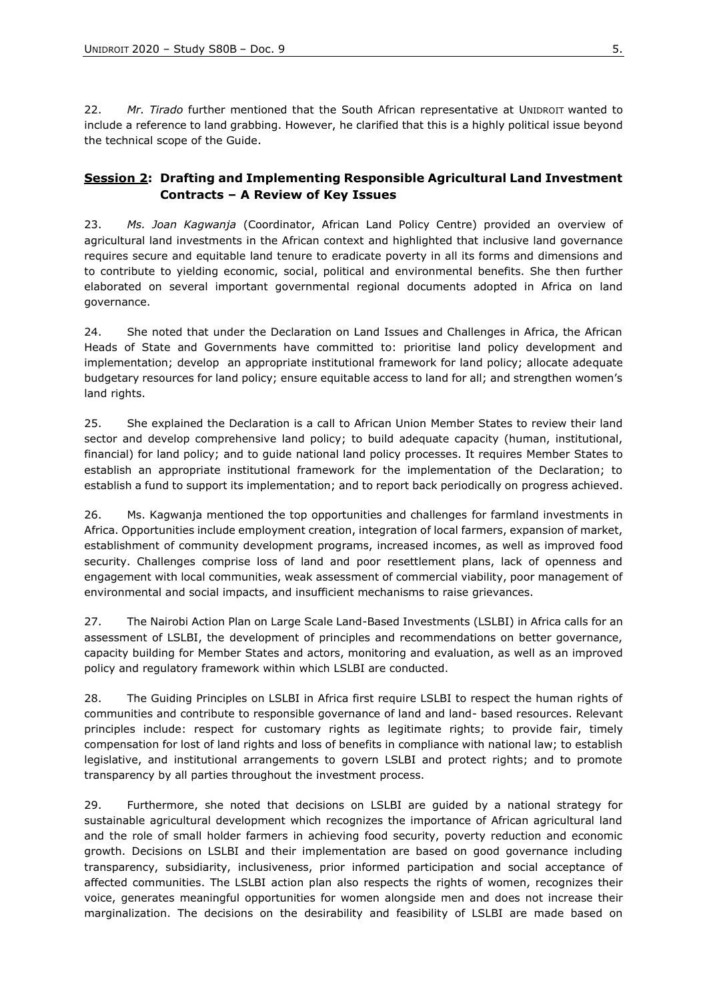22. *Mr. Tirado* further mentioned that the South African representative at UNIDROIT wanted to include a reference to land grabbing. However, he clarified that this is a highly political issue beyond the technical scope of the Guide.

## **Session 2: Drafting and Implementing Responsible Agricultural Land Investment Contracts – A Review of Key Issues**

23. *Ms. Joan Kagwanja* (Coordinator, African Land Policy Centre) provided an overview of agricultural land investments in the African context and highlighted that inclusive land governance requires secure and equitable land tenure to eradicate poverty in all its forms and dimensions and to contribute to yielding economic, social, political and environmental benefits. She then further elaborated on several important governmental regional documents adopted in Africa on land governance.

24. She noted that under the Declaration on Land Issues and Challenges in Africa, the African Heads of State and Governments have committed to: prioritise land policy development and implementation; develop an appropriate institutional framework for land policy; allocate adequate budgetary resources for land policy; ensure equitable access to land for all; and strengthen women's land rights.

25. She explained the Declaration is a call to African Union Member States to review their land sector and develop comprehensive land policy; to build adequate capacity (human, institutional, financial) for land policy; and to guide national land policy processes. It requires Member States to establish an appropriate institutional framework for the implementation of the Declaration; to establish a fund to support its implementation; and to report back periodically on progress achieved.

26. Ms. Kagwanja mentioned the top opportunities and challenges for farmland investments in Africa. Opportunities include employment creation, integration of local farmers, expansion of market, establishment of community development programs, increased incomes, as well as improved food security. Challenges comprise loss of land and poor resettlement plans, lack of openness and engagement with local communities, weak assessment of commercial viability, poor management of environmental and social impacts, and insufficient mechanisms to raise grievances.

27. The Nairobi Action Plan on Large Scale Land-Based Investments (LSLBI) in Africa calls for an assessment of LSLBI, the development of principles and recommendations on better governance, capacity building for Member States and actors, monitoring and evaluation, as well as an improved policy and regulatory framework within which LSLBI are conducted.

28. The Guiding Principles on LSLBI in Africa first require LSLBI to respect the human rights of communities and contribute to responsible governance of land and land- based resources. Relevant principles include: respect for customary rights as legitimate rights; to provide fair, timely compensation for lost of land rights and loss of benefits in compliance with national law; to establish legislative, and institutional arrangements to govern LSLBI and protect rights; and to promote transparency by all parties throughout the investment process.

29. Furthermore, she noted that decisions on LSLBI are guided by a national strategy for sustainable agricultural development which recognizes the importance of African agricultural land and the role of small holder farmers in achieving food security, poverty reduction and economic growth. Decisions on LSLBI and their implementation are based on good governance including transparency, subsidiarity, inclusiveness, prior informed participation and social acceptance of affected communities. The LSLBI action plan also respects the rights of women, recognizes their voice, generates meaningful opportunities for women alongside men and does not increase their marginalization. The decisions on the desirability and feasibility of LSLBI are made based on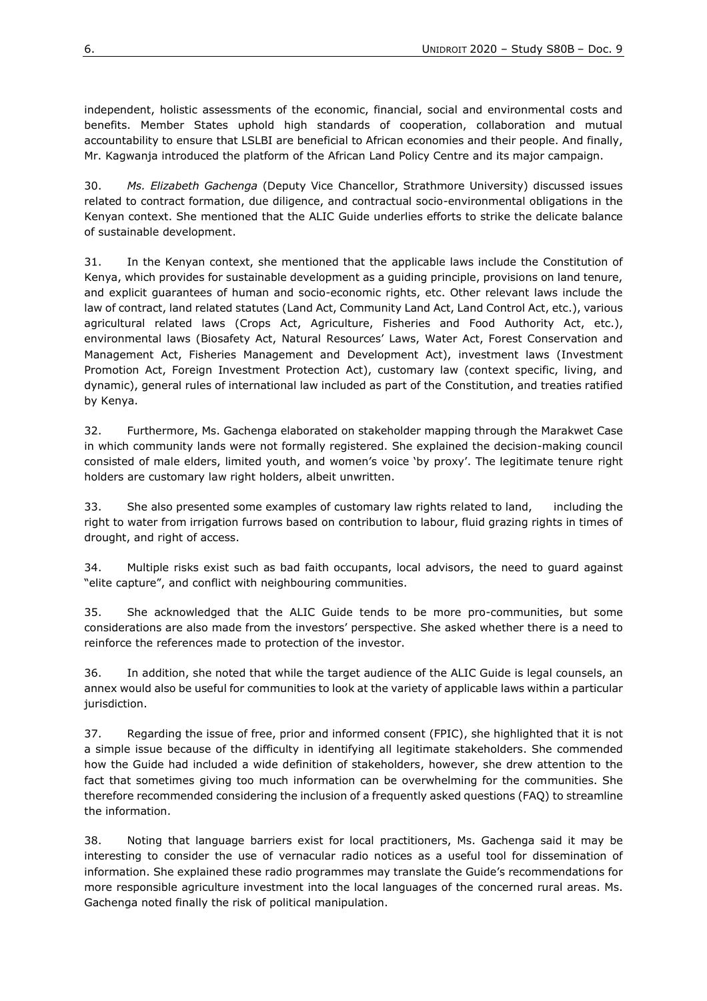independent, holistic assessments of the economic, financial, social and environmental costs and benefits. Member States uphold high standards of cooperation, collaboration and mutual accountability to ensure that LSLBI are beneficial to African economies and their people. And finally, Mr. Kagwanja introduced the platform of the African Land Policy Centre and its major campaign.

30. *Ms. Elizabeth Gachenga* (Deputy Vice Chancellor, Strathmore University) discussed issues related to contract formation, due diligence, and contractual socio-environmental obligations in the Kenyan context. She mentioned that the ALIC Guide underlies efforts to strike the delicate balance of sustainable development.

31. In the Kenyan context, she mentioned that the applicable laws include the Constitution of Kenya, which provides for sustainable development as a guiding principle, provisions on land tenure, and explicit guarantees of human and socio-economic rights, etc. Other relevant laws include the law of contract, land related statutes (Land Act, Community Land Act, Land Control Act, etc.), various agricultural related laws (Crops Act, Agriculture, Fisheries and Food Authority Act, etc.), environmental laws (Biosafety Act, Natural Resources' Laws, Water Act, Forest Conservation and Management Act, Fisheries Management and Development Act), investment laws (Investment Promotion Act, Foreign Investment Protection Act), customary law (context specific, living, and dynamic), general rules of international law included as part of the Constitution, and treaties ratified by Kenya.

32. Furthermore, Ms. Gachenga elaborated on stakeholder mapping through the Marakwet Case in which community lands were not formally registered. She explained the decision-making council consisted of male elders, limited youth, and women's voice 'by proxy'. The legitimate tenure right holders are customary law right holders, albeit unwritten.

33. She also presented some examples of customary law rights related to land, including the right to water from irrigation furrows based on contribution to labour, fluid grazing rights in times of drought, and right of access.

34. Multiple risks exist such as bad faith occupants, local advisors, the need to guard against "elite capture", and conflict with neighbouring communities.

35. She acknowledged that the ALIC Guide tends to be more pro-communities, but some considerations are also made from the investors' perspective. She asked whether there is a need to reinforce the references made to protection of the investor.

36. In addition, she noted that while the target audience of the ALIC Guide is legal counsels, an annex would also be useful for communities to look at the variety of applicable laws within a particular jurisdiction.

37. Regarding the issue of free, prior and informed consent (FPIC), she highlighted that it is not a simple issue because of the difficulty in identifying all legitimate stakeholders. She commended how the Guide had included a wide definition of stakeholders, however, she drew attention to the fact that sometimes giving too much information can be overwhelming for the communities. She therefore recommended considering the inclusion of a frequently asked questions (FAQ) to streamline the information.

38. Noting that language barriers exist for local practitioners, Ms. Gachenga said it may be interesting to consider the use of vernacular radio notices as a useful tool for dissemination of information. She explained these radio programmes may translate the Guide's recommendations for more responsible agriculture investment into the local languages of the concerned rural areas. Ms. Gachenga noted finally the risk of political manipulation.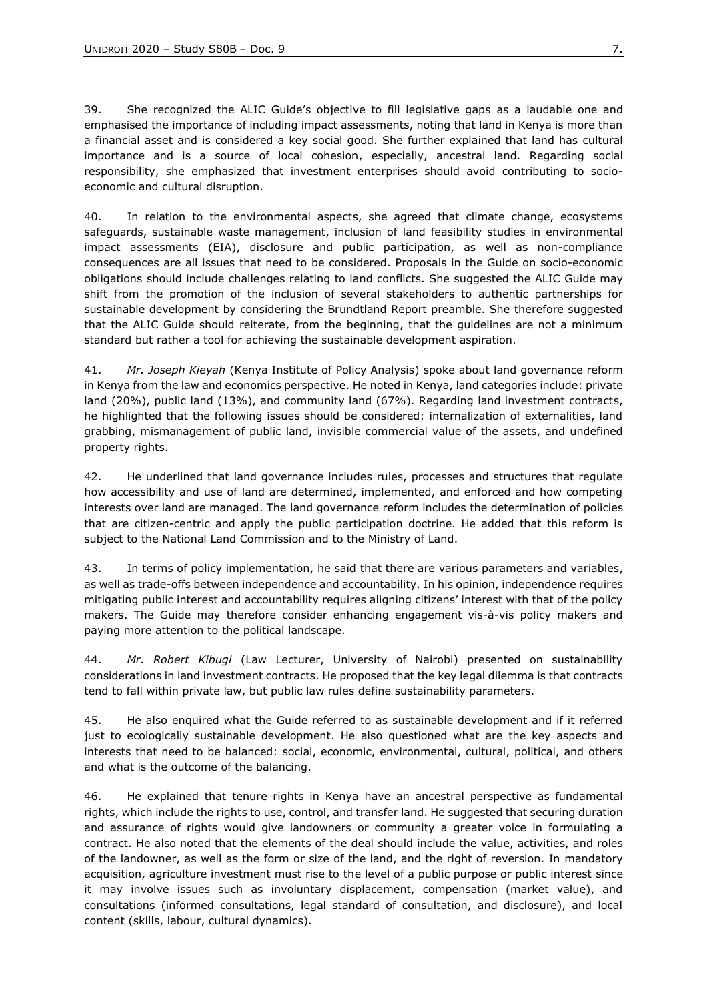39. She recognized the ALIC Guide's objective to fill legislative gaps as a laudable one and emphasised the importance of including impact assessments, noting that land in Kenya is more than a financial asset and is considered a key social good. She further explained that land has cultural importance and is a source of local cohesion, especially, ancestral land. Regarding social responsibility, she emphasized that investment enterprises should avoid contributing to socioeconomic and cultural disruption.

40. In relation to the environmental aspects, she agreed that climate change, ecosystems safeguards, sustainable waste management, inclusion of land feasibility studies in environmental impact assessments (EIA), disclosure and public participation, as well as non-compliance consequences are all issues that need to be considered. Proposals in the Guide on socio-economic obligations should include challenges relating to land conflicts. She suggested the ALIC Guide may shift from the promotion of the inclusion of several stakeholders to authentic partnerships for sustainable development by considering the Brundtland Report preamble. She therefore suggested that the ALIC Guide should reiterate, from the beginning, that the guidelines are not a minimum standard but rather a tool for achieving the sustainable development aspiration.

41. *Mr. Joseph Kieyah* (Kenya Institute of Policy Analysis) spoke about land governance reform in Kenya from the law and economics perspective. He noted in Kenya, land categories include: private land (20%), public land (13%), and community land (67%). Regarding land investment contracts, he highlighted that the following issues should be considered: internalization of externalities, land grabbing, mismanagement of public land, invisible commercial value of the assets, and undefined property rights.

42. He underlined that land governance includes rules, processes and structures that regulate how accessibility and use of land are determined, implemented, and enforced and how competing interests over land are managed. The land governance reform includes the determination of policies that are citizen-centric and apply the public participation doctrine. He added that this reform is subject to the National Land Commission and to the Ministry of Land.

43. In terms of policy implementation, he said that there are various parameters and variables, as well as trade-offs between independence and accountability. In his opinion, independence requires mitigating public interest and accountability requires aligning citizens' interest with that of the policy makers. The Guide may therefore consider enhancing engagement vis-à-vis policy makers and paying more attention to the political landscape.

44. *Mr. Robert Kibugi* (Law Lecturer, University of Nairobi) presented on sustainability considerations in land investment contracts. He proposed that the key legal dilemma is that contracts tend to fall within private law, but public law rules define sustainability parameters.

45. He also enquired what the Guide referred to as sustainable development and if it referred just to ecologically sustainable development. He also questioned what are the key aspects and interests that need to be balanced: social, economic, environmental, cultural, political, and others and what is the outcome of the balancing.

46. He explained that tenure rights in Kenya have an ancestral perspective as fundamental rights, which include the rights to use, control, and transfer land. He suggested that securing duration and assurance of rights would give landowners or community a greater voice in formulating a contract. He also noted that the elements of the deal should include the value, activities, and roles of the landowner, as well as the form or size of the land, and the right of reversion. In mandatory acquisition, agriculture investment must rise to the level of a public purpose or public interest since it may involve issues such as involuntary displacement, compensation (market value), and consultations (informed consultations, legal standard of consultation, and disclosure), and local content (skills, labour, cultural dynamics).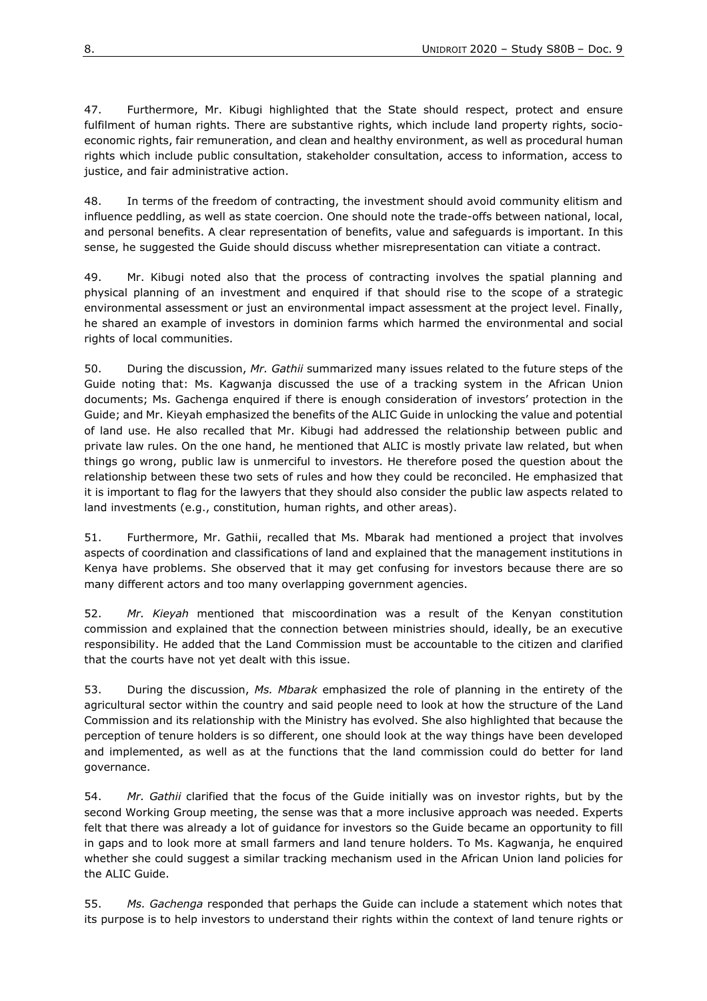47. Furthermore, Mr. Kibugi highlighted that the State should respect, protect and ensure fulfilment of human rights. There are substantive rights, which include land property rights, socioeconomic rights, fair remuneration, and clean and healthy environment, as well as procedural human rights which include public consultation, stakeholder consultation, access to information, access to justice, and fair administrative action.

48. In terms of the freedom of contracting, the investment should avoid community elitism and influence peddling, as well as state coercion. One should note the trade-offs between national, local, and personal benefits. A clear representation of benefits, value and safeguards is important. In this sense, he suggested the Guide should discuss whether misrepresentation can vitiate a contract.

49. Mr. Kibugi noted also that the process of contracting involves the spatial planning and physical planning of an investment and enquired if that should rise to the scope of a strategic environmental assessment or just an environmental impact assessment at the project level. Finally, he shared an example of investors in dominion farms which harmed the environmental and social rights of local communities.

50. During the discussion, *Mr. Gathii* summarized many issues related to the future steps of the Guide noting that: Ms. Kagwanja discussed the use of a tracking system in the African Union documents; Ms. Gachenga enquired if there is enough consideration of investors' protection in the Guide; and Mr. Kieyah emphasized the benefits of the ALIC Guide in unlocking the value and potential of land use. He also recalled that Mr. Kibugi had addressed the relationship between public and private law rules. On the one hand, he mentioned that ALIC is mostly private law related, but when things go wrong, public law is unmerciful to investors. He therefore posed the question about the relationship between these two sets of rules and how they could be reconciled. He emphasized that it is important to flag for the lawyers that they should also consider the public law aspects related to land investments (e.g., constitution, human rights, and other areas).

51. Furthermore, Mr. Gathii, recalled that Ms. Mbarak had mentioned a project that involves aspects of coordination and classifications of land and explained that the management institutions in Kenya have problems. She observed that it may get confusing for investors because there are so many different actors and too many overlapping government agencies.

52. *Mr. Kieyah* mentioned that miscoordination was a result of the Kenyan constitution commission and explained that the connection between ministries should, ideally, be an executive responsibility. He added that the Land Commission must be accountable to the citizen and clarified that the courts have not yet dealt with this issue.

53. During the discussion, *Ms. Mbarak* emphasized the role of planning in the entirety of the agricultural sector within the country and said people need to look at how the structure of the Land Commission and its relationship with the Ministry has evolved. She also highlighted that because the perception of tenure holders is so different, one should look at the way things have been developed and implemented, as well as at the functions that the land commission could do better for land governance.

54. *Mr. Gathii* clarified that the focus of the Guide initially was on investor rights, but by the second Working Group meeting, the sense was that a more inclusive approach was needed. Experts felt that there was already a lot of guidance for investors so the Guide became an opportunity to fill in gaps and to look more at small farmers and land tenure holders. To Ms. Kagwanja, he enquired whether she could suggest a similar tracking mechanism used in the African Union land policies for the ALIC Guide.

55. *Ms. Gachenga* responded that perhaps the Guide can include a statement which notes that its purpose is to help investors to understand their rights within the context of land tenure rights or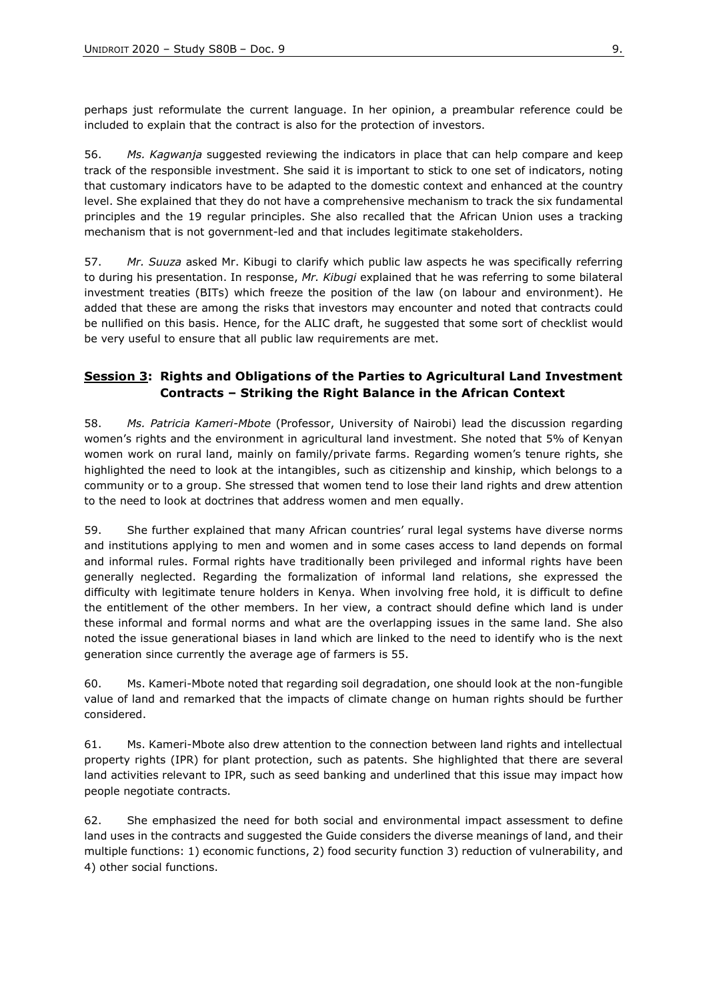perhaps just reformulate the current language. In her opinion, a preambular reference could be included to explain that the contract is also for the protection of investors.

56. *Ms. Kagwanja* suggested reviewing the indicators in place that can help compare and keep track of the responsible investment. She said it is important to stick to one set of indicators, noting that customary indicators have to be adapted to the domestic context and enhanced at the country level. She explained that they do not have a comprehensive mechanism to track the six fundamental principles and the 19 regular principles. She also recalled that the African Union uses a tracking mechanism that is not government-led and that includes legitimate stakeholders.

57. *Mr. Suuza* asked Mr. Kibugi to clarify which public law aspects he was specifically referring to during his presentation. In response, *Mr. Kibugi* explained that he was referring to some bilateral investment treaties (BITs) which freeze the position of the law (on labour and environment). He added that these are among the risks that investors may encounter and noted that contracts could be nullified on this basis. Hence, for the ALIC draft, he suggested that some sort of checklist would be very useful to ensure that all public law requirements are met.

## **Session 3: Rights and Obligations of the Parties to Agricultural Land Investment Contracts – Striking the Right Balance in the African Context**

58. *Ms. Patricia Kameri-Mbote* (Professor, University of Nairobi) lead the discussion regarding women's rights and the environment in agricultural land investment. She noted that 5% of Kenyan women work on rural land, mainly on family/private farms. Regarding women's tenure rights, she highlighted the need to look at the intangibles, such as citizenship and kinship, which belongs to a community or to a group. She stressed that women tend to lose their land rights and drew attention to the need to look at doctrines that address women and men equally.

59. She further explained that many African countries' rural legal systems have diverse norms and institutions applying to men and women and in some cases access to land depends on formal and informal rules. Formal rights have traditionally been privileged and informal rights have been generally neglected. Regarding the formalization of informal land relations, she expressed the difficulty with legitimate tenure holders in Kenya. When involving free hold, it is difficult to define the entitlement of the other members. In her view, a contract should define which land is under these informal and formal norms and what are the overlapping issues in the same land. She also noted the issue generational biases in land which are linked to the need to identify who is the next generation since currently the average age of farmers is 55.

60. Ms. Kameri-Mbote noted that regarding soil degradation, one should look at the non-fungible value of land and remarked that the impacts of climate change on human rights should be further considered.

61. Ms. Kameri-Mbote also drew attention to the connection between land rights and intellectual property rights (IPR) for plant protection, such as patents. She highlighted that there are several land activities relevant to IPR, such as seed banking and underlined that this issue may impact how people negotiate contracts.

62. She emphasized the need for both social and environmental impact assessment to define land uses in the contracts and suggested the Guide considers the diverse meanings of land, and their multiple functions: 1) economic functions, 2) food security function 3) reduction of vulnerability, and 4) other social functions.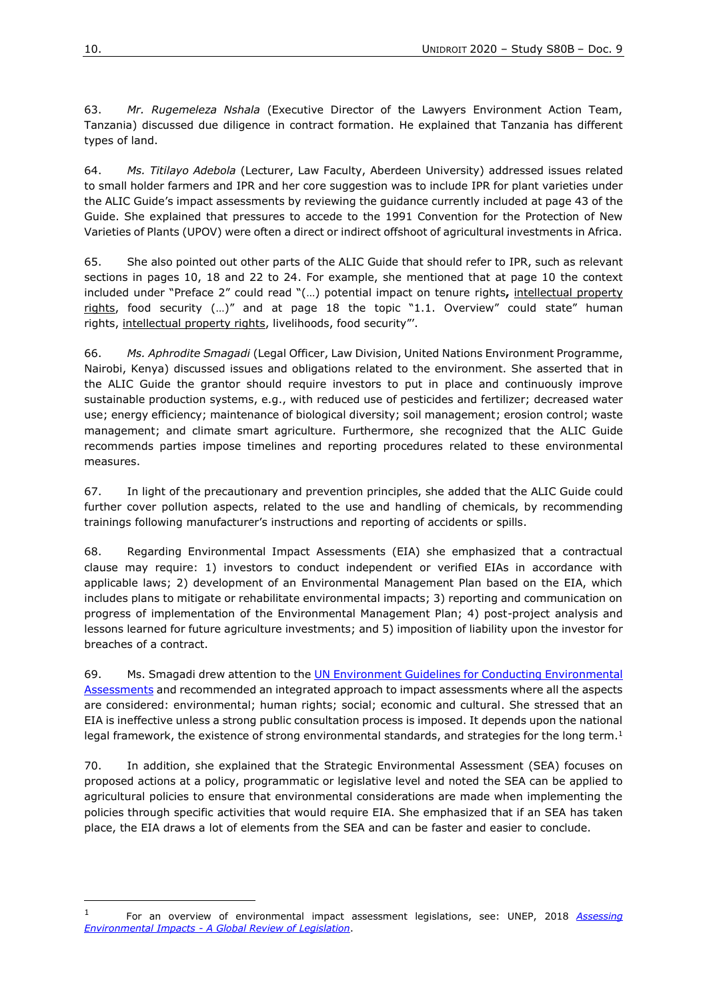63. *Mr. Rugemeleza Nshala* (Executive Director of the Lawyers Environment Action Team, Tanzania) discussed due diligence in contract formation. He explained that Tanzania has different types of land.

64. *Ms. Titilayo Adebola* (Lecturer, Law Faculty, Aberdeen University) addressed issues related to small holder farmers and IPR and her core suggestion was to include IPR for plant varieties under the ALIC Guide's impact assessments by reviewing the guidance currently included at page 43 of the Guide. She explained that pressures to accede to the 1991 Convention for the Protection of New Varieties of Plants (UPOV) were often a direct or indirect offshoot of agricultural investments in Africa.

65. She also pointed out other parts of the ALIC Guide that should refer to IPR, such as relevant sections in pages 10, 18 and 22 to 24. For example, she mentioned that at page 10 the context included under "Preface 2" could read "(…) potential impact on tenure rights**,** intellectual property rights, food security  $(...)$ " and at page 18 the topic "1.1. Overview" could state" human rights, intellectual property rights, livelihoods, food security"'.

66. *Ms. Aphrodite Smagadi* (Legal Officer, Law Division, United Nations Environment Programme, Nairobi, Kenya) discussed issues and obligations related to the environment. She asserted that in the ALIC Guide the grantor should require investors to put in place and continuously improve sustainable production systems, e.g., with reduced use of pesticides and fertilizer; decreased water use; energy efficiency; maintenance of biological diversity; soil management; erosion control; waste management; and climate smart agriculture. Furthermore, she recognized that the ALIC Guide recommends parties impose timelines and reporting procedures related to these environmental measures.

67. In light of the precautionary and prevention principles, she added that the ALIC Guide could further cover pollution aspects, related to the use and handling of chemicals, by recommending trainings following manufacturer's instructions and reporting of accidents or spills.

68. Regarding Environmental Impact Assessments (EIA) she emphasized that a contractual clause may require: 1) investors to conduct independent or verified EIAs in accordance with applicable laws; 2) development of an Environmental Management Plan based on the EIA, which includes plans to mitigate or rehabilitate environmental impacts; 3) reporting and communication on progress of implementation of the Environmental Management Plan; 4) post-project analysis and lessons learned for future agriculture investments; and 5) imposition of liability upon the investor for breaches of a contract.

69. Ms. Smagadi drew attention to the UN Environment [Guidelines for Conducting Environmental](https://wedocs.unep.org/bitstream/handle/20.500.11822/16775/IEA_Guidelines_Living_Document_v2.pdf?sequence=1&isAllowed=y)  [Assessments](https://wedocs.unep.org/bitstream/handle/20.500.11822/16775/IEA_Guidelines_Living_Document_v2.pdf?sequence=1&isAllowed=y) and recommended an integrated approach to impact assessments where all the aspects are considered: environmental; human rights; social; economic and cultural. She stressed that an EIA is ineffective unless a strong public consultation process is imposed. It depends upon the national legal framework, the existence of strong environmental standards, and strategies for the long term.<sup>1</sup>

70. In addition, she explained that the Strategic Environmental Assessment (SEA) focuses on proposed actions at a policy, programmatic or legislative level and noted the SEA can be applied to agricultural policies to ensure that environmental considerations are made when implementing the policies through specific activities that would require EIA. She emphasized that if an SEA has taken place, the EIA draws a lot of elements from the SEA and can be faster and easier to conclude.

<sup>1</sup> For an overview of environmental impact assessment legislations, see: UNEP, 2018 *[Assessing](file://///Qnap1/Unidroit/Personal%20Shared%20Folders/Pereira-de-Andrade/Full%20Access/ALIC/Final%20Reports%20from%20Consultations/Word%20Versions/Final%20Word%20Version%20of%20all%20ALIC%20Reports/2018%20publication%20on%20Assessing%20Environmental%20Impacts%20-%20A%20Global%20Review%20of%20Legislation)  Environmental Impacts - [A Global Review of Legislation](file://///Qnap1/Unidroit/Personal%20Shared%20Folders/Pereira-de-Andrade/Full%20Access/ALIC/Final%20Reports%20from%20Consultations/Word%20Versions/Final%20Word%20Version%20of%20all%20ALIC%20Reports/2018%20publication%20on%20Assessing%20Environmental%20Impacts%20-%20A%20Global%20Review%20of%20Legislation)*.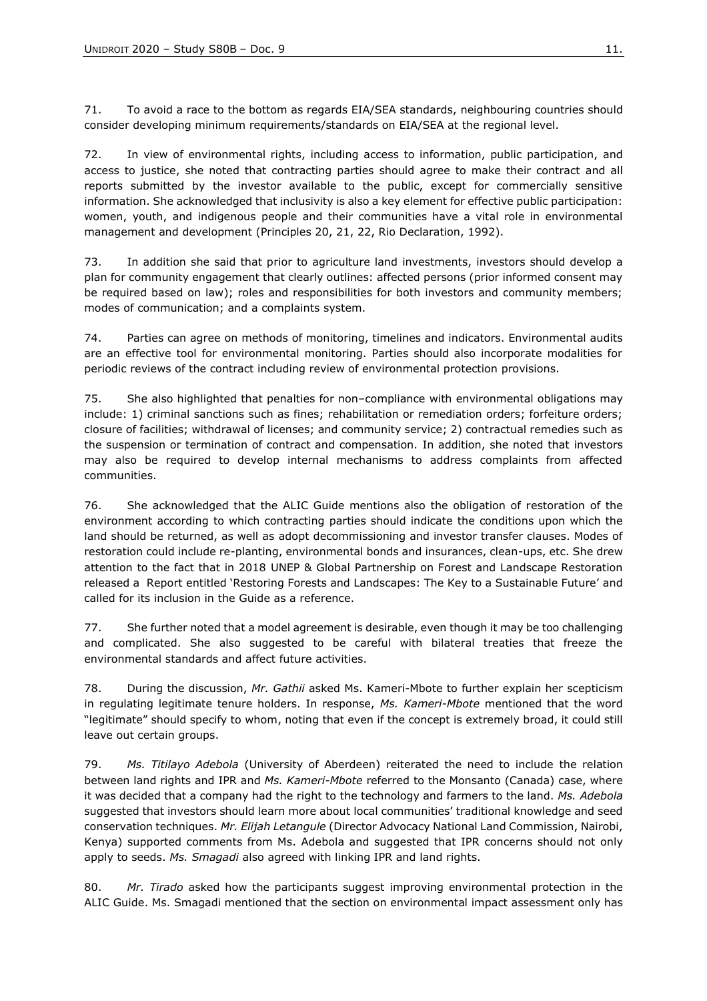71. To avoid a race to the bottom as regards EIA/SEA standards, neighbouring countries should consider developing minimum requirements/standards on EIA/SEA at the regional level.

72. In view of environmental rights, including access to information, public participation, and access to justice, she noted that contracting parties should agree to make their contract and all reports submitted by the investor available to the public, except for commercially sensitive information. She acknowledged that inclusivity is also a key element for effective public participation: women, youth, and indigenous people and their communities have a vital role in environmental management and development (Principles 20, 21, 22, Rio Declaration, 1992).

73. In addition she said that prior to agriculture land investments, investors should develop a plan for community engagement that clearly outlines: affected persons (prior informed consent may be required based on law); roles and responsibilities for both investors and community members; modes of communication; and a complaints system.

74. Parties can agree on methods of monitoring, timelines and indicators. Environmental audits are an effective tool for environmental monitoring. Parties should also incorporate modalities for periodic reviews of the contract including review of environmental protection provisions.

75. She also highlighted that penalties for non–compliance with environmental obligations may include: 1) criminal sanctions such as fines; rehabilitation or remediation orders; forfeiture orders; closure of facilities; withdrawal of licenses; and community service; 2) contractual remedies such as the suspension or termination of contract and compensation. In addition, she noted that investors may also be required to develop internal mechanisms to address complaints from affected communities.

76. She acknowledged that the ALIC Guide mentions also the obligation of restoration of the environment according to which contracting parties should indicate the conditions upon which the land should be returned, as well as adopt decommissioning and investor transfer clauses. Modes of restoration could include re-planting, environmental bonds and insurances, clean-ups, etc. She drew attention to the fact that in 2018 UNEP & Global Partnership on Forest and Landscape Restoration released a Report entitled ['Restoring Forests and Landscapes: The Key to a Sustainable Future'](http://www.forestlandscaperestoration.org/sites/forestlandscaperestoration.org/files/resources/GPFLR_FINAL%2027Aug.pdf) and called for its inclusion in the Guide as a reference.

77. She further noted that a model agreement is desirable, even though it may be too challenging and complicated. She also suggested to be careful with bilateral treaties that freeze the environmental standards and affect future activities.

78. During the discussion, *Mr. Gathii* asked Ms. Kameri-Mbote to further explain her scepticism in regulating legitimate tenure holders. In response, *Ms. Kameri-Mbote* mentioned that the word "legitimate" should specify to whom, noting that even if the concept is extremely broad, it could still leave out certain groups.

79. *Ms. Titilayo Adebola* (University of Aberdeen) reiterated the need to include the relation between land rights and IPR and *Ms. Kameri-Mbote* referred to the Monsanto (Canada) case, where it was decided that a company had the right to the technology and farmers to the land. *Ms. Adebola*  suggested that investors should learn more about local communities' traditional knowledge and seed conservation techniques. *Mr. Elijah Letangule* (Director Advocacy National Land Commission, Nairobi, Kenya) supported comments from Ms. Adebola and suggested that IPR concerns should not only apply to seeds. *Ms. Smagadi* also agreed with linking IPR and land rights.

80. *Mr. Tirado* asked how the participants suggest improving environmental protection in the ALIC Guide. Ms. Smagadi mentioned that the section on environmental impact assessment only has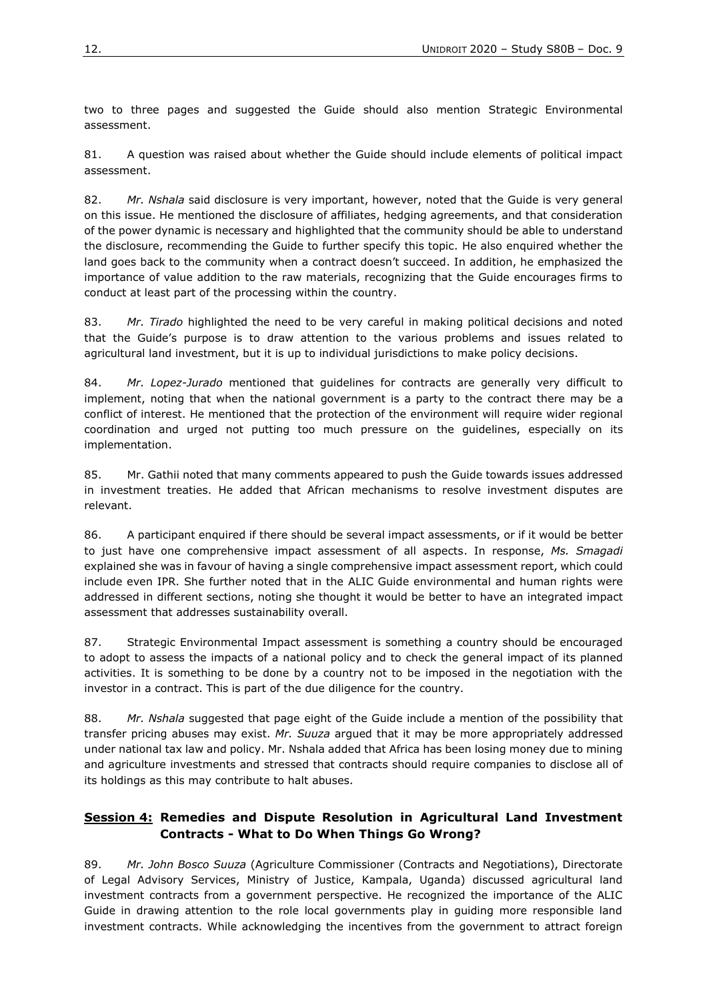two to three pages and suggested the Guide should also mention Strategic Environmental assessment.

81. A question was raised about whether the Guide should include elements of political impact assessment.

82. *Mr. Nshala* said disclosure is very important, however, noted that the Guide is very general on this issue. He mentioned the disclosure of affiliates, hedging agreements, and that consideration of the power dynamic is necessary and highlighted that the community should be able to understand the disclosure, recommending the Guide to further specify this topic. He also enquired whether the land goes back to the community when a contract doesn't succeed. In addition, he emphasized the importance of value addition to the raw materials, recognizing that the Guide encourages firms to conduct at least part of the processing within the country.

83. *Mr. Tirado* highlighted the need to be very careful in making political decisions and noted that the Guide's purpose is to draw attention to the various problems and issues related to agricultural land investment, but it is up to individual jurisdictions to make policy decisions.

84. *Mr. Lopez-Jurado* mentioned that guidelines for contracts are generally very difficult to implement, noting that when the national government is a party to the contract there may be a conflict of interest. He mentioned that the protection of the environment will require wider regional coordination and urged not putting too much pressure on the guidelines, especially on its implementation.

85. Mr. Gathii noted that many comments appeared to push the Guide towards issues addressed in investment treaties. He added that African mechanisms to resolve investment disputes are relevant.

86. A participant enquired if there should be several impact assessments, or if it would be better to just have one comprehensive impact assessment of all aspects. In response, *Ms. Smagadi* explained she was in favour of having a single comprehensive impact assessment report, which could include even IPR. She further noted that in the ALIC Guide environmental and human rights were addressed in different sections, noting she thought it would be better to have an integrated impact assessment that addresses sustainability overall.

87. Strategic Environmental Impact assessment is something a country should be encouraged to adopt to assess the impacts of a national policy and to check the general impact of its planned activities. It is something to be done by a country not to be imposed in the negotiation with the investor in a contract. This is part of the due diligence for the country.

88. *Mr. Nshala* suggested that page eight of the Guide include a mention of the possibility that transfer pricing abuses may exist. *Mr. Suuza* argued that it may be more appropriately addressed under national tax law and policy. Mr. Nshala added that Africa has been losing money due to mining and agriculture investments and stressed that contracts should require companies to disclose all of its holdings as this may contribute to halt abuses.

## **Session 4: Remedies and Dispute Resolution in Agricultural Land Investment Contracts - What to Do When Things Go Wrong?**

89. *Mr. John Bosco Suuza* (Agriculture Commissioner (Contracts and Negotiations), Directorate of Legal Advisory Services, Ministry of Justice, Kampala, Uganda) discussed agricultural land investment contracts from a government perspective. He recognized the importance of the ALIC Guide in drawing attention to the role local governments play in guiding more responsible land investment contracts. While acknowledging the incentives from the government to attract foreign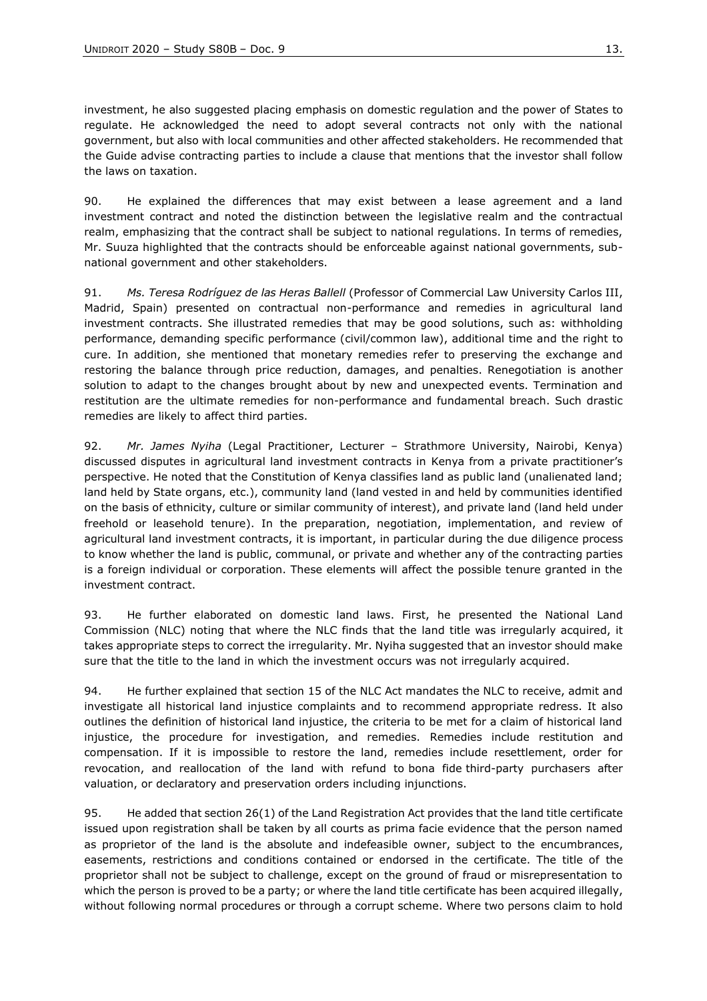investment, he also suggested placing emphasis on domestic regulation and the power of States to regulate. He acknowledged the need to adopt several contracts not only with the national government, but also with local communities and other affected stakeholders. He recommended that the Guide advise contracting parties to include a clause that mentions that the investor shall follow the laws on taxation.

90. He explained the differences that may exist between a lease agreement and a land investment contract and noted the distinction between the legislative realm and the contractual realm, emphasizing that the contract shall be subject to national regulations. In terms of remedies, Mr. Suuza highlighted that the contracts should be enforceable against national governments, subnational government and other stakeholders.

91. *Ms. Teresa Rodríguez de las Heras Ballell* (Professor of Commercial Law University Carlos III, Madrid, Spain) presented on contractual non-performance and remedies in agricultural land investment contracts. She illustrated remedies that may be good solutions, such as: withholding performance, demanding specific performance (civil/common law), additional time and the right to cure. In addition, she mentioned that monetary remedies refer to preserving the exchange and restoring the balance through price reduction, damages, and penalties. Renegotiation is another solution to adapt to the changes brought about by new and unexpected events. Termination and restitution are the ultimate remedies for non-performance and fundamental breach. Such drastic remedies are likely to affect third parties.

92. *Mr. James Nyiha* (Legal Practitioner, Lecturer – Strathmore University, Nairobi, Kenya) discussed disputes in agricultural land investment contracts in Kenya from a private practitioner's perspective. He noted that the Constitution of Kenya classifies land as public land (unalienated land; land held by State organs, etc.), community land (land vested in and held by communities identified on the basis of ethnicity, culture or similar community of interest), and private land (land held under freehold or leasehold tenure). In the preparation, negotiation, implementation, and review of agricultural land investment contracts, it is important, in particular during the due diligence process to know whether the land is public, communal, or private and whether any of the contracting parties is a foreign individual or corporation. These elements will affect the possible tenure granted in the investment contract.

93. He further elaborated on domestic land laws. First, he presented the National Land Commission (NLC) noting that where the NLC finds that the land title was irregularly acquired, it takes appropriate steps to correct the irregularity. Mr. Nyiha suggested that an investor should make sure that the title to the land in which the investment occurs was not irregularly acquired.

94. He further explained that section 15 of the NLC Act mandates the NLC to receive, admit and investigate all historical land injustice complaints and to recommend appropriate redress. It also outlines the definition of historical land injustice, the criteria to be met for a claim of historical land injustice, the procedure for investigation, and remedies. Remedies include restitution and compensation. If it is impossible to restore the land, remedies include resettlement, order for revocation, and reallocation of the land with refund to bona fide third-party purchasers after valuation, or declaratory and preservation orders including injunctions.

95. He added that section 26(1) of the Land Registration Act provides that the land title certificate issued upon registration shall be taken by all courts as prima facie evidence that the person named as proprietor of the land is the absolute and indefeasible owner, subject to the encumbrances, easements, restrictions and conditions contained or endorsed in the certificate. The title of the proprietor shall not be subject to challenge, except on the ground of fraud or misrepresentation to which the person is proved to be a party; or where the land title certificate has been acquired illegally, without following normal procedures or through a corrupt scheme. Where two persons claim to hold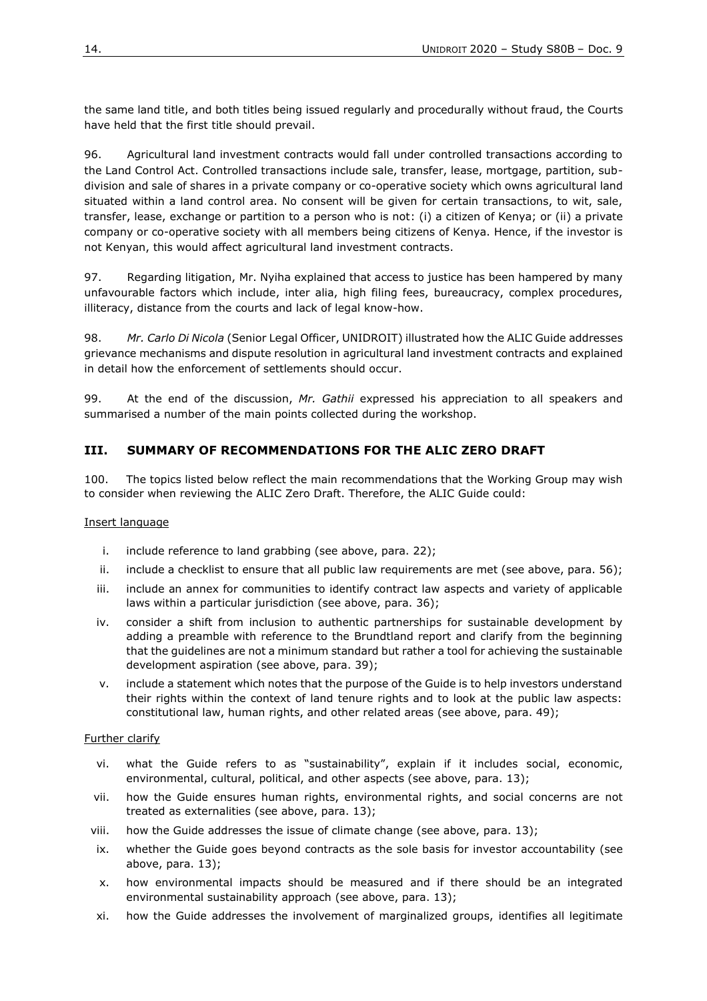the same land title, and both titles being issued regularly and procedurally without fraud, the Courts have held that the first title should prevail.

96. Agricultural land investment contracts would fall under controlled transactions according to the Land Control Act. Controlled transactions include sale, transfer, lease, mortgage, partition, subdivision and sale of shares in a private company or co-operative society which owns agricultural land situated within a land control area. No consent will be given for certain transactions, to wit, sale, transfer, lease, exchange or partition to a person who is not: (i) a citizen of Kenya; or (ii) a private company or co-operative society with all members being citizens of Kenya. Hence, if the investor is not Kenyan, this would affect agricultural land investment contracts.

97. Regarding litigation, Mr. Nyiha explained that access to justice has been hampered by many unfavourable factors which include, inter alia, high filing fees, bureaucracy, complex procedures, illiteracy, distance from the courts and lack of legal know-how.

98. *Mr. Carlo Di Nicola* (Senior Legal Officer, UNIDROIT) illustrated how the ALIC Guide addresses grievance mechanisms and dispute resolution in agricultural land investment contracts and explained in detail how the enforcement of settlements should occur.

99. At the end of the discussion, *Mr. Gathii* expressed his appreciation to all speakers and summarised a number of the main points collected during the workshop.

## **III. SUMMARY OF RECOMMENDATIONS FOR THE ALIC ZERO DRAFT**

100. The topics listed below reflect the main recommendations that the Working Group may wish to consider when reviewing the ALIC Zero Draft. Therefore, the ALIC Guide could:

#### Insert language

- i. include reference to land grabbing (see above, para. 22);
- ii. include a checklist to ensure that all public law requirements are met (see above, para. 56);
- iii. include an annex for communities to identify contract law aspects and variety of applicable laws within a particular jurisdiction (see above, para. 36);
- iv. consider a shift from inclusion to authentic partnerships for sustainable development by adding a preamble with reference to the Brundtland report and clarify from the beginning that the guidelines are not a minimum standard but rather a tool for achieving the sustainable development aspiration (see above, para. 39);
- v. include a statement which notes that the purpose of the Guide is to help investors understand their rights within the context of land tenure rights and to look at the public law aspects: constitutional law, human rights, and other related areas (see above, para. 49);

#### Further clarify

- vi. what the Guide refers to as "sustainability", explain if it includes social, economic, environmental, cultural, political, and other aspects (see above, para. 13);
- vii. how the Guide ensures human rights, environmental rights, and social concerns are not treated as externalities (see above, para. 13);
- viii. how the Guide addresses the issue of climate change (see above, para. 13);
- ix. whether the Guide goes beyond contracts as the sole basis for investor accountability (see above, para. 13);
- x. how environmental impacts should be measured and if there should be an integrated environmental sustainability approach (see above, para. 13);
- xi. how the Guide addresses the involvement of marginalized groups, identifies all legitimate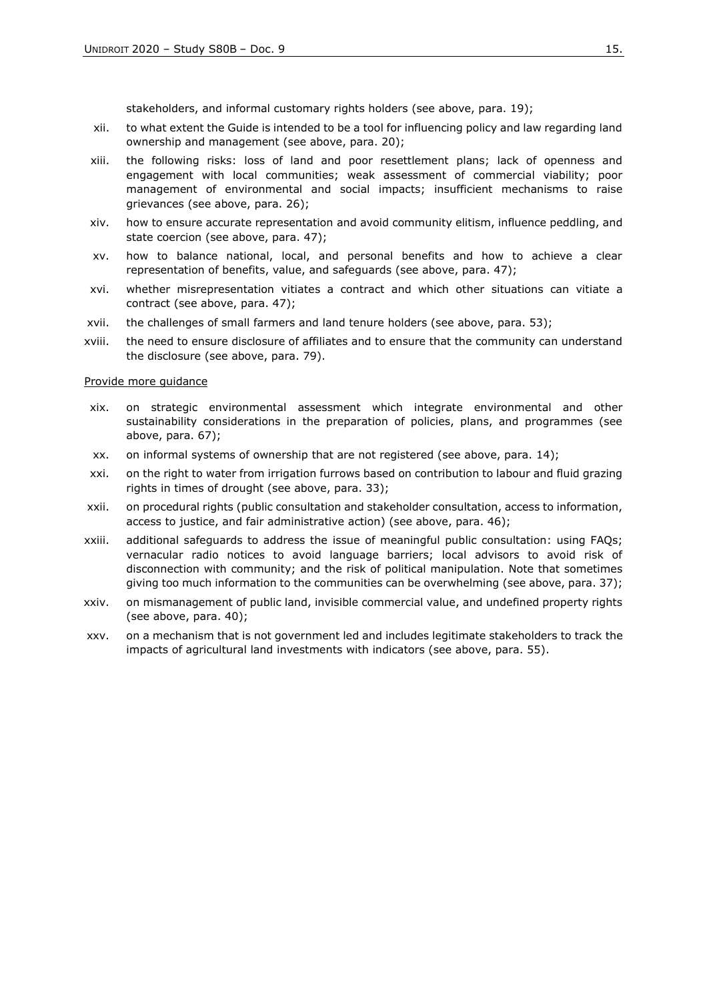stakeholders, and informal customary rights holders (see above, para. 19);

- xii. to what extent the Guide is intended to be a tool for influencing policy and law regarding land ownership and management (see above, para. 20);
- xiii. the following risks: loss of land and poor resettlement plans; lack of openness and engagement with local communities; weak assessment of commercial viability; poor management of environmental and social impacts; insufficient mechanisms to raise grievances (see above, para. 26);
- xiv. how to ensure accurate representation and avoid community elitism, influence peddling, and state coercion (see above, para. 47);
- xv. how to balance national, local, and personal benefits and how to achieve a clear representation of benefits, value, and safeguards (see above, para. 47);
- xvi. whether misrepresentation vitiates a contract and which other situations can vitiate a contract (see above, para. 47);
- xvii. the challenges of small farmers and land tenure holders (see above, para. 53);
- xviii. the need to ensure disclosure of affiliates and to ensure that the community can understand the disclosure (see above, para. 79).

#### Provide more guidance

- xix. on strategic environmental assessment which integrate environmental and other sustainability considerations in the preparation of policies, plans, and programmes (see above, para. 67);
- xx. on informal systems of ownership that are not registered (see above, para. 14);
- xxi. on the right to water from irrigation furrows based on contribution to labour and fluid grazing rights in times of drought (see above, para. 33);
- xxii. on procedural rights (public consultation and stakeholder consultation, access to information, access to justice, and fair administrative action) (see above, para. 46);
- xxiii. additional safeguards to address the issue of meaningful public consultation: using FAQs; vernacular radio notices to avoid language barriers; local advisors to avoid risk of disconnection with community; and the risk of political manipulation. Note that sometimes giving too much information to the communities can be overwhelming (see above, para. 37);
- xxiv. on mismanagement of public land, invisible commercial value, and undefined property rights (see above, para. 40);
- xxv. on a mechanism that is not government led and includes legitimate stakeholders to track the impacts of agricultural land investments with indicators (see above, para. 55).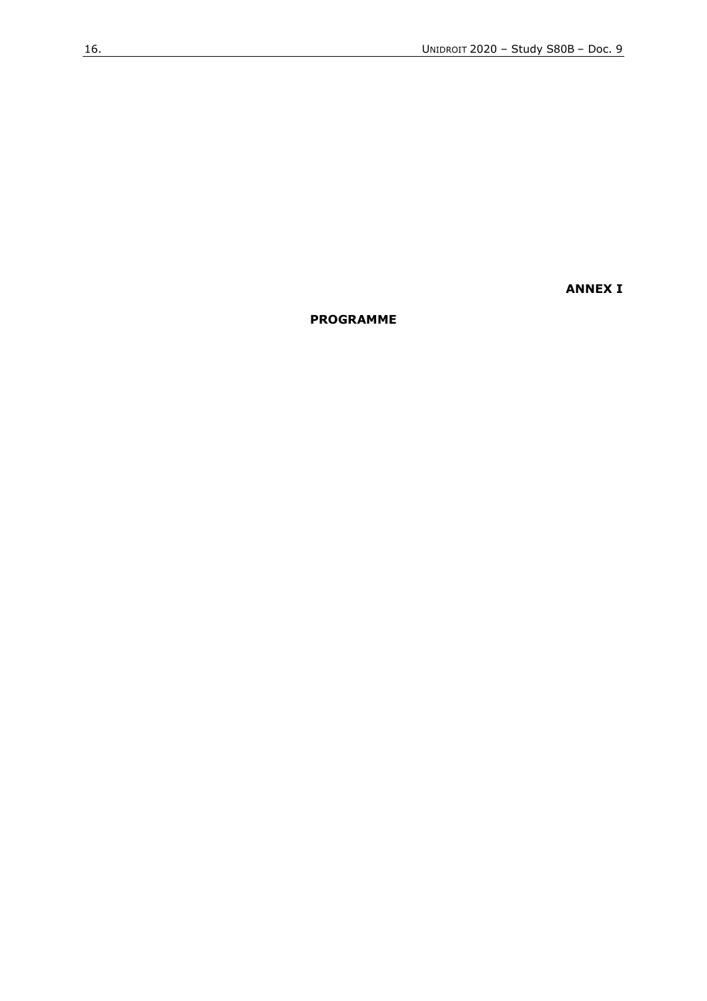**ANNEX I**

**PROGRAMME**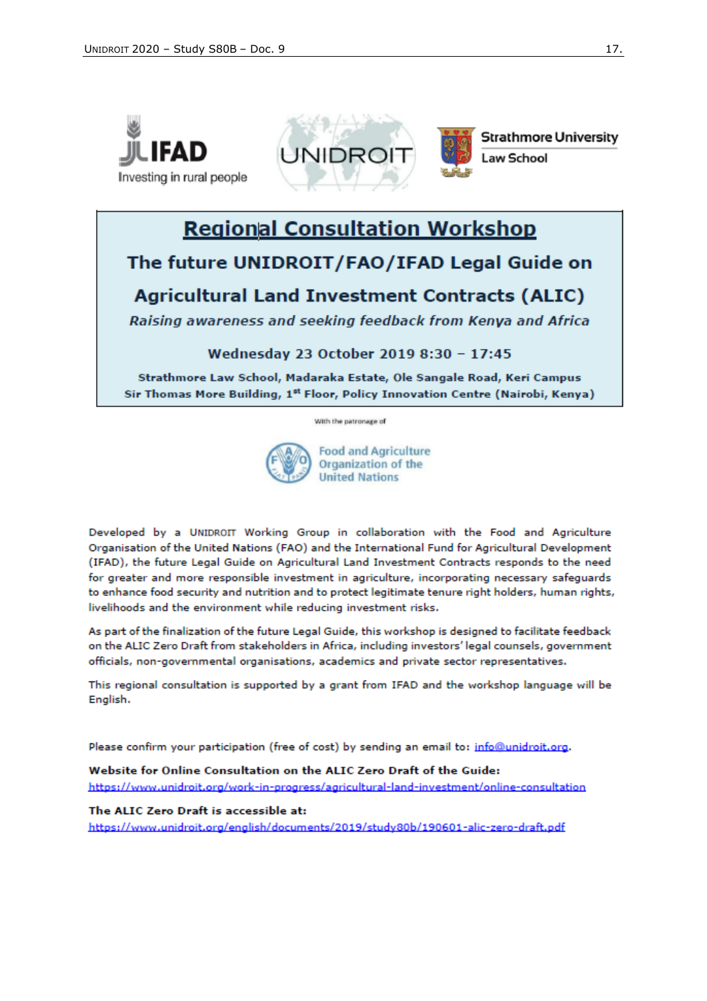



**Strathmore University Law School** 

# **Regional Consultation Workshop**

## The future UNIDROIT/FAO/IFAD Legal Guide on

## **Agricultural Land Investment Contracts (ALIC)**

Raising awareness and seeking feedback from Kenya and Africa

Wednesday 23 October 2019 8:30 - 17:45

Strathmore Law School, Madaraka Estate, Ole Sangale Road, Keri Campus Sir Thomas More Building, 1st Floor, Policy Innovation Centre (Nairobi, Kenya)

With the patronage of



**Food and Agriculture** Organization of the **United Nations** 

Developed by a UNIDROIT Working Group in collaboration with the Food and Agriculture Organisation of the United Nations (FAO) and the International Fund for Agricultural Development (IFAD), the future Legal Guide on Agricultural Land Investment Contracts responds to the need for greater and more responsible investment in agriculture, incorporating necessary safeguards to enhance food security and nutrition and to protect legitimate tenure right holders, human rights, livelihoods and the environment while reducing investment risks.

As part of the finalization of the future Legal Guide, this workshop is designed to facilitate feedback on the ALIC Zero Draft from stakeholders in Africa, including investors' legal counsels, government officials, non-governmental organisations, academics and private sector representatives.

This regional consultation is supported by a grant from IFAD and the workshop language will be English.

Please confirm your participation (free of cost) by sending an email to: info@unidroit.org.

Website for Online Consultation on the ALIC Zero Draft of the Guide: https://www.unidroit.org/work-in-progress/agricultural-land-investment/online-consultation

### The ALIC Zero Draft is accessible at:

https://www.unidroit.org/english/documents/2019/study80b/190601-alic-zero-draft.pdf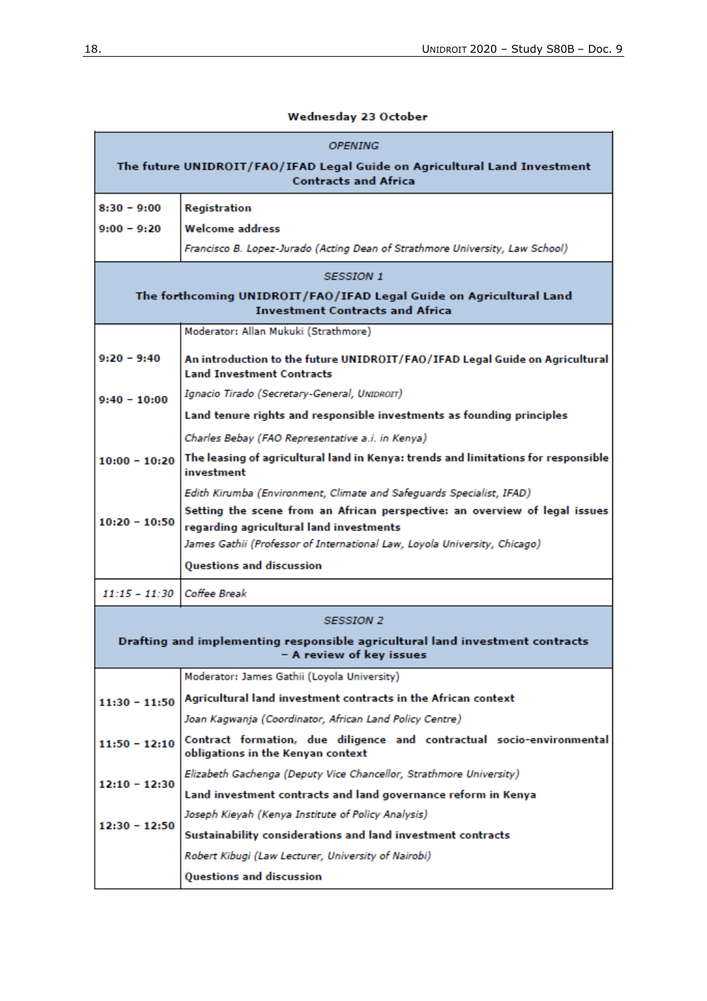## Wednesday 23 October

| <i><b>OPENING</b></i>                                                                                        |                                                                                                                      |  |  |  |
|--------------------------------------------------------------------------------------------------------------|----------------------------------------------------------------------------------------------------------------------|--|--|--|
| The future UNIDROIT/FAO/IFAD Legal Guide on Agricultural Land Investment<br><b>Contracts and Africa</b>      |                                                                                                                      |  |  |  |
| $8:30 - 9:00$                                                                                                | Registration                                                                                                         |  |  |  |
| $9:00 - 9:20$                                                                                                | <b>Welcome address</b>                                                                                               |  |  |  |
|                                                                                                              | Francisco B. Lopez-Jurado (Acting Dean of Strathmore University, Law School)                                         |  |  |  |
| <b>SESSION 1</b>                                                                                             |                                                                                                                      |  |  |  |
| The forthcoming UNIDROIT/FAO/IFAD Legal Guide on Agricultural Land<br><b>Investment Contracts and Africa</b> |                                                                                                                      |  |  |  |
|                                                                                                              | Moderator: Allan Mukuki (Strathmore)                                                                                 |  |  |  |
| $9:20 - 9:40$                                                                                                | An introduction to the future UNIDROIT/FAO/IFAD Legal Guide on Agricultural<br><b>Land Investment Contracts</b>      |  |  |  |
| $9:40 - 10:00$                                                                                               | Ignacio Tirado (Secretary-General, UNIDROIT)                                                                         |  |  |  |
|                                                                                                              | Land tenure rights and responsible investments as founding principles                                                |  |  |  |
|                                                                                                              | Charles Bebay (FAO Representative a.i. in Kenya)                                                                     |  |  |  |
| $10:00 - 10:20$                                                                                              | The leasing of agricultural land in Kenya: trends and limitations for responsible<br>investment                      |  |  |  |
|                                                                                                              | Edith Kirumba (Environment, Climate and Safeguards Specialist, IFAD)                                                 |  |  |  |
| $10:20 - 10:50$                                                                                              | Setting the scene from an African perspective: an overview of legal issues                                           |  |  |  |
|                                                                                                              | regarding agricultural land investments<br>James Gathii (Professor of International Law, Loyola University, Chicago) |  |  |  |
|                                                                                                              | Questions and discussion                                                                                             |  |  |  |
| $11:15 - 11:30$                                                                                              | Coffee Break                                                                                                         |  |  |  |
|                                                                                                              |                                                                                                                      |  |  |  |
|                                                                                                              | <b>SESSION 2</b>                                                                                                     |  |  |  |
| Drafting and implementing responsible agricultural land investment contracts<br>- A review of key issues     |                                                                                                                      |  |  |  |
|                                                                                                              | Moderator: James Gathii (Loyola University)                                                                          |  |  |  |
| $11:30 - 11:50$                                                                                              | Agricultural land investment contracts in the African context                                                        |  |  |  |
|                                                                                                              | Joan Kagwanja (Coordinator, African Land Policy Centre)                                                              |  |  |  |
| $11:50 - 12:10$                                                                                              | Contract formation, due diligence and contractual socio-environmental<br>obligations in the Kenyan context           |  |  |  |
| $12:10 - 12:30$                                                                                              | Elizabeth Gachenga (Deputy Vice Chancellor, Strathmore University)                                                   |  |  |  |
|                                                                                                              | Land investment contracts and land governance reform in Kenya                                                        |  |  |  |
| $12:30 - 12:50$                                                                                              | Joseph Kieyah (Kenya Institute of Policy Analysis)                                                                   |  |  |  |
|                                                                                                              | Sustainability considerations and land investment contracts                                                          |  |  |  |
|                                                                                                              | Robert Kibugi (Law Lecturer, University of Nairobi)                                                                  |  |  |  |
|                                                                                                              | Questions and discussion                                                                                             |  |  |  |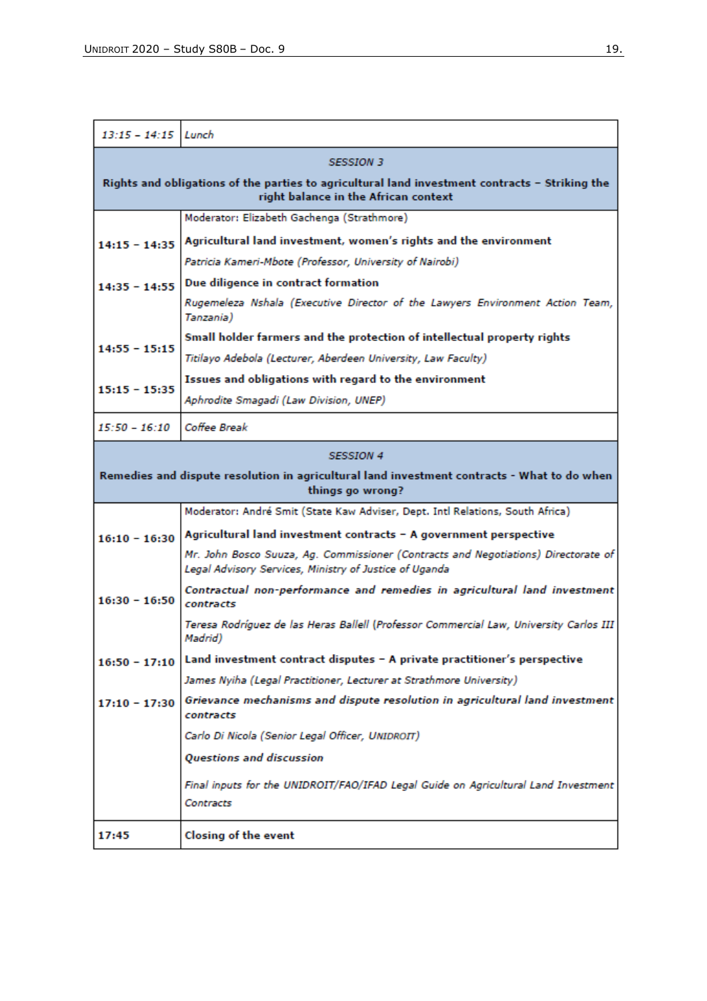| $13:15 - 14:15$ Lunch                                                                                                                  |                                                                                                                                              |  |  |  |
|----------------------------------------------------------------------------------------------------------------------------------------|----------------------------------------------------------------------------------------------------------------------------------------------|--|--|--|
| <b>SESSION 3</b>                                                                                                                       |                                                                                                                                              |  |  |  |
| Rights and obligations of the parties to agricultural land investment contracts - Striking the<br>right balance in the African context |                                                                                                                                              |  |  |  |
|                                                                                                                                        | Moderator: Elizabeth Gachenga (Strathmore)                                                                                                   |  |  |  |
| $14:15 - 14:35$                                                                                                                        | Agricultural land investment, women's rights and the environment                                                                             |  |  |  |
|                                                                                                                                        | Patricia Kameri-Mbote (Professor, University of Nairobi)                                                                                     |  |  |  |
| $14:35 - 14:55$                                                                                                                        | Due diligence in contract formation                                                                                                          |  |  |  |
|                                                                                                                                        | Rugemeleza Nshala (Executive Director of the Lawyers Environment Action Team,<br>Tanzania)                                                   |  |  |  |
| $14:55 - 15:15$                                                                                                                        | Small holder farmers and the protection of intellectual property rights                                                                      |  |  |  |
|                                                                                                                                        | Titilayo Adebola (Lecturer, Aberdeen University, Law Faculty)                                                                                |  |  |  |
| $15:15 - 15:35$                                                                                                                        | Issues and obligations with regard to the environment                                                                                        |  |  |  |
|                                                                                                                                        | Aphrodite Smagadi (Law Division, UNEP)                                                                                                       |  |  |  |
| $15:50 - 16:10$                                                                                                                        | Coffee Break                                                                                                                                 |  |  |  |
| <b>SESSION 4</b>                                                                                                                       |                                                                                                                                              |  |  |  |
| Remedies and dispute resolution in agricultural land investment contracts - What to do when<br>things go wrong?                        |                                                                                                                                              |  |  |  |
|                                                                                                                                        | Moderator: André Smit (State Kaw Adviser, Dept. Intl Relations, South Africa)                                                                |  |  |  |
| $16:10 - 16:30$                                                                                                                        | Agricultural land investment contracts - A government perspective                                                                            |  |  |  |
|                                                                                                                                        | Mr. John Bosco Suuza, Ag. Commissioner (Contracts and Negotiations) Directorate of<br>Legal Advisory Services, Ministry of Justice of Uganda |  |  |  |
| $16:30 - 16:50$                                                                                                                        | Contractual non-performance and remedies in agricultural land investment<br>contracts                                                        |  |  |  |
|                                                                                                                                        | Teresa Rodríguez de las Heras Ballell (Professor Commercial Law, University Carlos III)<br>Madrid)                                           |  |  |  |
| $16:50 - 17:10$                                                                                                                        | Land investment contract disputes - A private practitioner's perspective                                                                     |  |  |  |
|                                                                                                                                        | James Nyiha (Legal Practitioner, Lecturer at Strathmore University)                                                                          |  |  |  |
| $17:10 - 17:30$                                                                                                                        | Grievance mechanisms and dispute resolution in agricultural land investment<br>contracts                                                     |  |  |  |
|                                                                                                                                        | Carlo Di Nicola (Senior Legal Officer, UNIDROIT)                                                                                             |  |  |  |
|                                                                                                                                        | Questions and discussion                                                                                                                     |  |  |  |
|                                                                                                                                        | Final inputs for the UNIDROIT/FAO/IFAD Legal Guide on Agricultural Land Investment                                                           |  |  |  |
|                                                                                                                                        | Contracts                                                                                                                                    |  |  |  |
| 17:45                                                                                                                                  | Closing of the event                                                                                                                         |  |  |  |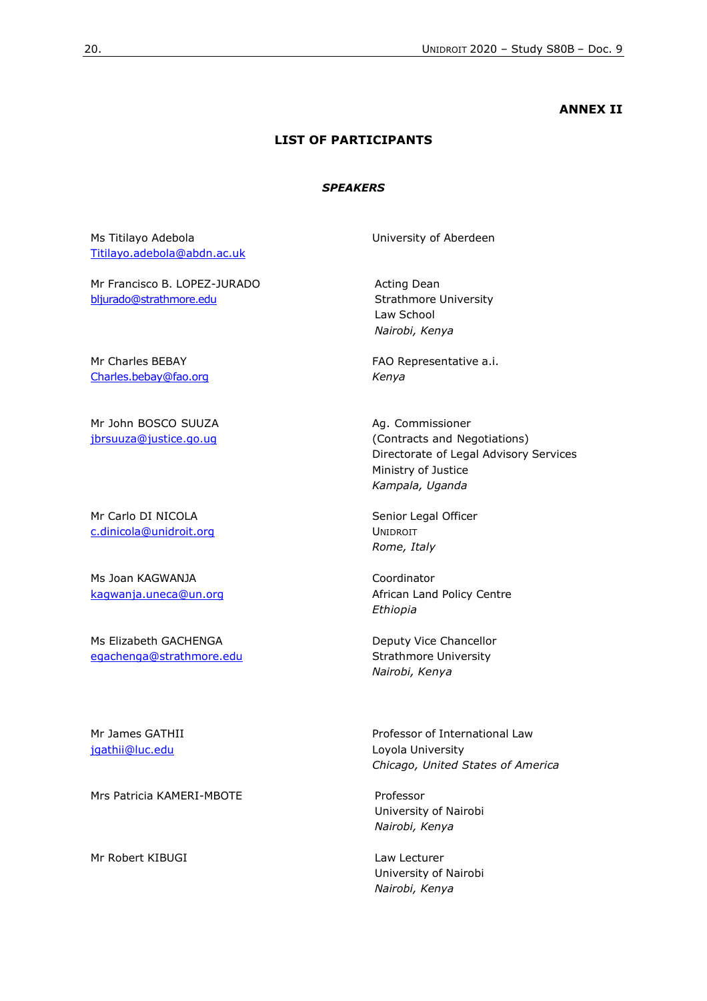#### **ANNEX II**

### **LIST OF PARTICIPANTS**

#### *SPEAKERS*

Ms Titilayo Adebola [Titilayo.adebola@abdn.ac.uk](mailto:Titilayo.adebola@abdn.ac.uk)

Mr Francisco B. LOPEZ-JURADO [bljurado@strathmore.edu](mailto:bljurado@strathmore.edu)

Mr Charles BEBAY [Charles.bebay@fao.org](mailto:Charles.bebay@fao.org)

Mr John BOSCO SUUZA [jbrsuuza@justice.go.ug](mailto:jbrsuuza@justice.go.ug)

Mr Carlo DI NICOLA [c.dinicola@unidroit.org](mailto:c.dinicola@unidroit.org)

Ms Joan KAGWANJA [kagwanja.uneca@un.org](mailto:kagwanja.uneca@un.org)

Ms Elizabeth GACHENGA [egachenga@strathmore.edu](mailto:egachenga@strathmore.edu) University of Aberdeen

Acting Dean Strathmore University Law School *Nairobi, Kenya*

FAO Representative a.i. *Kenya*

Ag. Commissioner (Contracts and Negotiations) Directorate of Legal Advisory Services Ministry of Justice *Kampala, Uganda*

Senior Legal Officer UNIDROIT *Rome, Italy*

Coordinator African Land Policy Centre *Ethiopia* 

Deputy Vice Chancellor Strathmore University *Nairobi, Kenya*

Mr James GATHII [jgathii@luc.edu](mailto:jgathii@luc.edu)

Mrs Patricia KAMERI-MBOTE **And Contact Contact Professor** 

Mr Robert KIBUGI Law Lecturer

Professor of International Law Loyola University *Chicago, United States of America*

University of Nairobi *Nairobi, Kenya*

University of Nairobi *Nairobi, Kenya*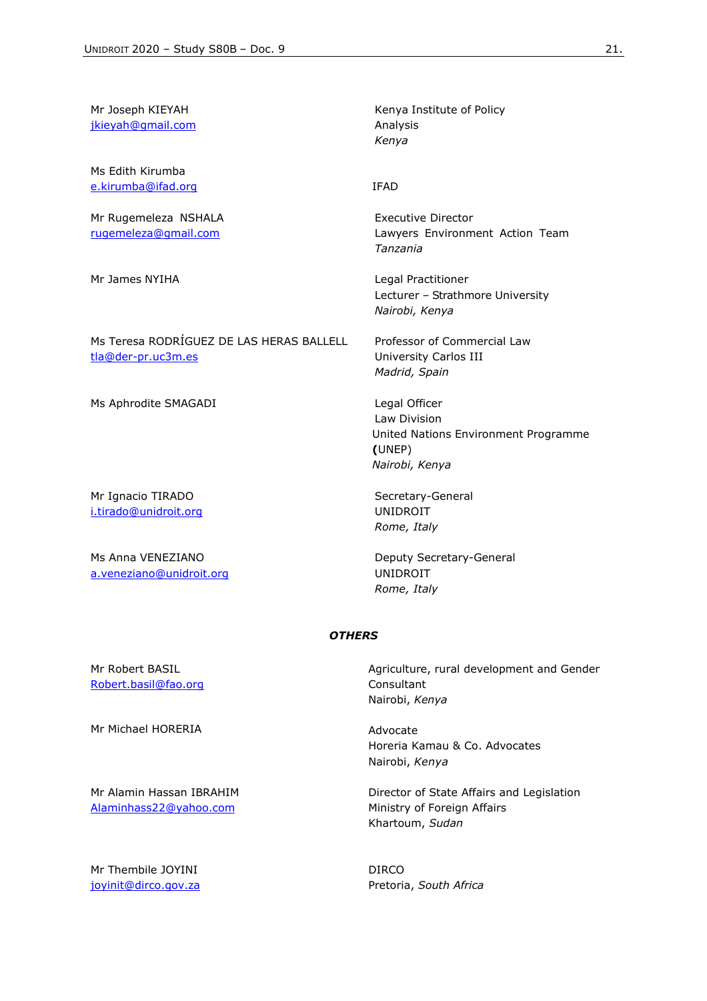Mr Joseph KIEYAH [jkieyah@gmail.com](mailto:jkieyah@gmail.com)

Ms Edith Kirumba [e.kirumba@ifad.org](mailto:e.kirumba@ifad.org)

Mr Rugemeleza NSHALA [rugemeleza@gmail.com](mailto:rugemeleza@gmail.com)

Ms Teresa RODRÍGUEZ DE LAS HERAS BALLELL [tla@der-pr.uc3m.es](mailto:tla@der-pr.uc3m.es)

Ms Aphrodite SMAGADI Legal Officer

Mr Ignacio TIRADO [i.tirado@unidroit.org](mailto:i.tirado@unidroit.org)

Ms Anna VENEZIANO [a.veneziano@unidroit.org](mailto:a.veneziano@unidroit.org) Kenya Institute of Policy Analysis *Kenya*

IFAD

Executive Director Lawyers Environment Action Team *Tanzania*

Mr James NYIHA **Legal Practitioner** Lecturer – Strathmore University *Nairobi, Kenya*

> Professor of Commercial Law University Carlos III *Madrid, Spain*

Law Division United Nations Environment Programme **(**UNEP) *Nairobi, Kenya*

Secretary-General UNIDROIT *Rome, Italy*

Deputy Secretary-General UNIDROIT *Rome, Italy*

#### *OTHERS*

Mr Robert BASIL [Robert.basil@fao.org](mailto:Robert.basil@fao.org)

Mr Michael HORERIA **Advocate** Advocate

Mr Alamin Hassan IBRAHIM [Alaminhass22@yahoo.com](mailto:Alaminhass22@yahoo.com)

Mr Thembile JOYINI [joyinit@dirco.gov.za](mailto:joyinit@dirco.gov.za) Agriculture, rural development and Gender **Consultant** Nairobi, *Kenya*

Horeria Kamau & Co. Advocates Nairobi, *Kenya*

Director of State Affairs and Legislation Ministry of Foreign Affairs Khartoum, *Sudan*

DIRCO Pretoria, *South Africa*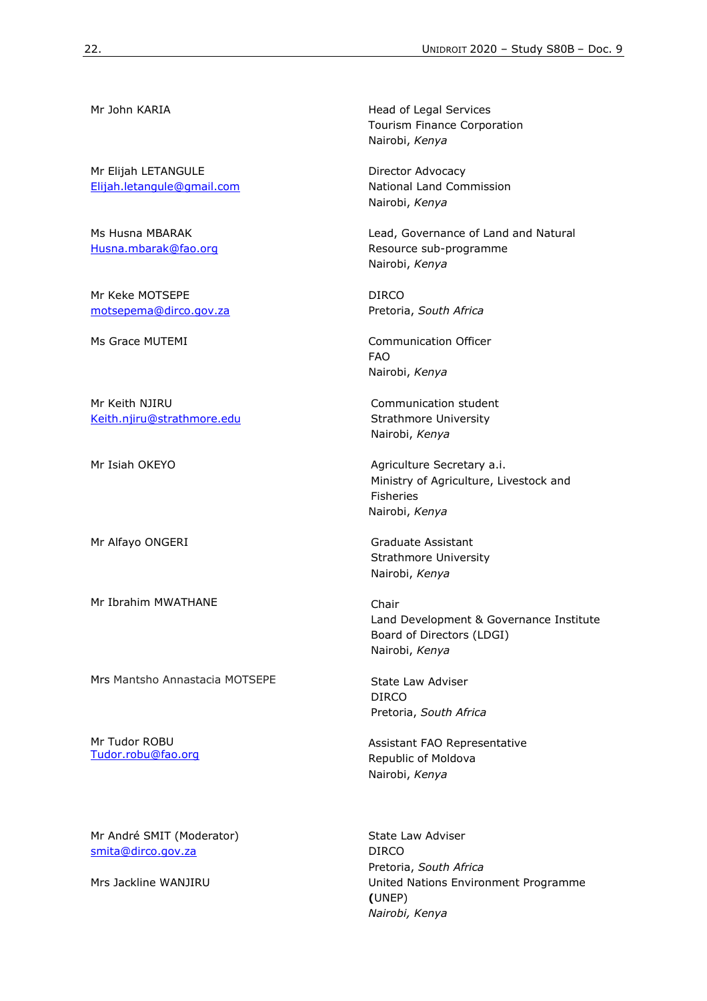Mr Elijah LETANGULE [Elijah.letangule@gmail.com](mailto:Elijah.letangule@gmail.com)

Ms Husna MBARAK [Husna.mbarak@fao.org](mailto:Husna.mbarak@fao.org)

Mr Keke MOTSEPE [motsepema@dirco.gov.za](mailto:motsepema@dirco.gov.za)

Mr Keith NJIRU [Keith.njiru@strathmore.edu](mailto:Keith.njiru@strathmore.edu)

Mr Alfayo ONGERI Graduate Assistant

Mr Ibrahim MWATHANE Chair

Mrs Mantsho Annastacia MOTSEPE State Law Adviser

Mr Tudor ROBU [Tudor.robu@fao.org](mailto:Tudor.robu@fao.org)

Mr André SMIT (Moderator) [smita@dirco.gov.za](mailto:smita@dirco.gov.za)

Mr John KARIA **Head of Legal Services** Tourism Finance Corporation Nairobi, *Kenya*

> Director Advocacy National Land Commission Nairobi, *Kenya*

Lead, Governance of Land and Natural Resource sub-programme Nairobi, *Kenya*

DIRCO Pretoria, *South Africa*

Ms Grace MUTEMI Communication Officer FAO Nairobi, *Kenya*

> Communication student Strathmore University Nairobi, *Kenya*

Mr Isiah OKEYO **Agriculture Secretary a.i.** Ministry of Agriculture, Livestock and Fisheries Nairobi, *Kenya*

> Strathmore University Nairobi, *Kenya*

Land Development & Governance Institute Board of Directors (LDGI) Nairobi, *Kenya*

DIRCO Pretoria, *South Africa*

Assistant FAO Representative Republic of Moldova Nairobi, *Kenya*

State Law Adviser DIRCO Pretoria, *South Africa* Mrs Jackline WANJIRU **National Environment Programme (**UNEP) *Nairobi, Kenya*